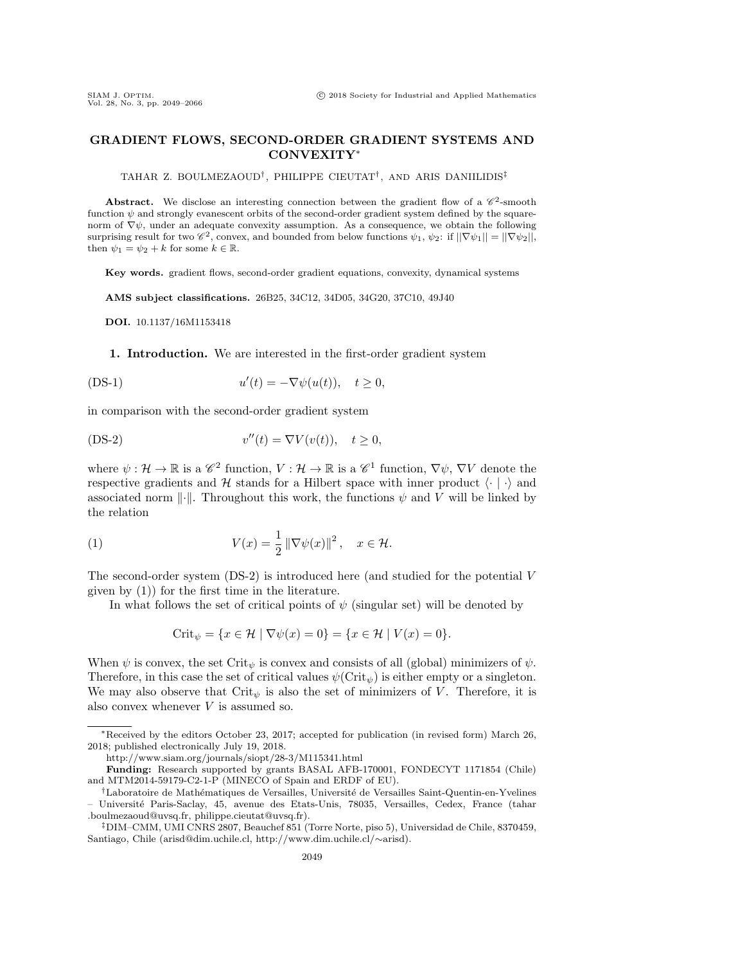## GRADIENT FLOWS, SECOND-ORDER GRADIENT SYSTEMS AND CONVEXITY<sup>∗</sup>

TAHAR Z. BOULMEZAOUD† , PHILIPPE CIEUTAT† , AND ARIS DANIILIDIS‡

**Abstract.** We disclose an interesting connection between the gradient flow of a  $\mathscr{C}^2$ -smooth function  $\psi$  and strongly evanescent orbits of the second-order gradient system defined by the squarenorm of  $\nabla \psi$ , under an adequate convexity assumption. As a consequence, we obtain the following surprising result for two  $\mathscr{C}^2$ , convex, and bounded from below functions  $\psi_1, \psi_2$ : if  $||\nabla \psi_1|| = ||\nabla \psi_2||$ , then  $\psi_1 = \psi_2 + k$  for some  $k \in \mathbb{R}$ .

Key words. gradient flows, second-order gradient equations, convexity, dynamical systems

AMS subject classifications. 26B25, 34C12, 34D05, 34G20, 37C10, 49J40

DOI. 10.1137/16M1153418

1. Introduction. We are interested in the first-order gradient system

<span id="page-0-2"></span>
$$
u'(t) = -\nabla \psi(u(t)), \quad t \ge 0,
$$

in comparison with the second-order gradient system

<span id="page-0-0"></span>(DS-2) 
$$
v''(t) = \nabla V(v(t)), \quad t \ge 0,
$$

where  $\psi: \mathcal{H} \to \mathbb{R}$  is a  $\mathscr{C}^2$  function,  $V: \mathcal{H} \to \mathbb{R}$  is a  $\mathscr{C}^1$  function,  $\nabla \psi$ ,  $\nabla V$  denote the respective gradients and H stands for a Hilbert space with inner product  $\langle \cdot | \cdot \rangle$  and associated norm  $\|\cdot\|$ . Throughout this work, the functions  $\psi$  and V will be linked by the relation

(1) 
$$
V(x) = \frac{1}{2} \left\| \nabla \psi(x) \right\|^2, \quad x \in \mathcal{H}.
$$

The second-order system [\(DS-2\)](#page-0-0) is introduced here (and studied for the potential V given by [\(1\)](#page-0-1)) for the first time in the literature.

In what follows the set of critical points of  $\psi$  (singular set) will be denoted by

<span id="page-0-1"></span>
$$
\text{Crit}_{\psi} = \{ x \in \mathcal{H} \mid \nabla \psi(x) = 0 \} = \{ x \in \mathcal{H} \mid V(x) = 0 \}.
$$

When  $\psi$  is convex, the set Crit<sub> $\psi$ </sub> is convex and consists of all (global) minimizers of  $\psi$ . Therefore, in this case the set of critical values  $\psi(\text{Crit}_{\psi})$  is either empty or a singleton. We may also observe that  $\mathrm{Crit}_{\psi}$  is also the set of minimizers of V. Therefore, it is also convex whenever V is assumed so.

<sup>∗</sup>Received by the editors October 23, 2017; accepted for publication (in revised form) March 26, 2018; published electronically July 19, 2018.

<http://www.siam.org/journals/siopt/28-3/M115341.html>

Funding: Research supported by grants BASAL AFB-170001, FONDECYT 1171854 (Chile) and MTM2014-59179-C2-1-P (MINECO of Spain and ERDF of EU).

<sup>&</sup>lt;sup>†</sup>Laboratoire de Mathématiques de Versailles, Université de Versailles Saint-Quentin-en-Yvelines – Universit´e Paris-Saclay, 45, avenue des Etats-Unis, 78035, Versailles, Cedex, France [\(tahar](mailto:tahar\penalty \z@ .boulmezaoud@uvsq.fr) [.boulmezaoud@uvsq.fr,](mailto:tahar\penalty \z@ .boulmezaoud@uvsq.fr) [philippe.cieutat@uvsq.fr\)](mailto:philippe.cieutat@uvsq.fr).

<sup>‡</sup>DIM–CMM, UMI CNRS 2807, Beauchef 851 (Torre Norte, piso 5), Universidad de Chile, 8370459, Santiago, Chile [\(arisd@dim.uchile.cl,](mailto:arisd@dim.uchile.cl) [http://www.dim.uchile.cl/](http://www.dim.uchile.cl/~arisd)∼arisd).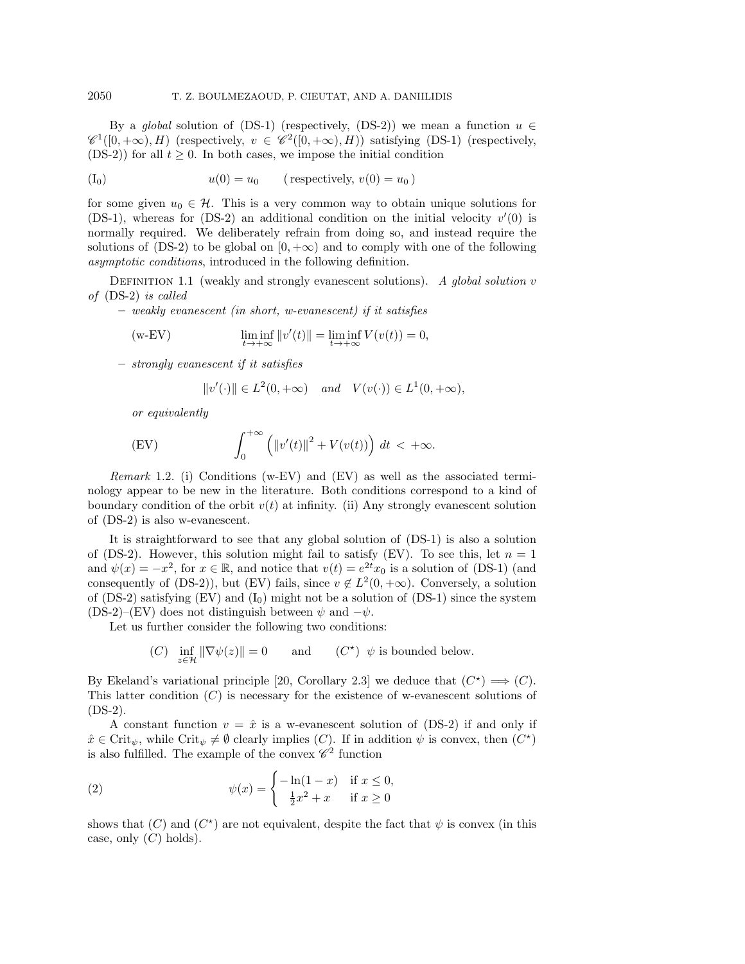By a global solution of [\(DS-1\)](#page-0-2) (respectively, [\(DS-2\)](#page-0-0)) we mean a function  $u \in$  $\mathscr{C}^1([0,+\infty),H)$  (respectively,  $v \in \mathscr{C}^2([0,+\infty),H)$ ) satisfying [\(DS-1\)](#page-0-2) (respectively, [\(DS-2\)](#page-0-0)) for all  $t \geq 0$ . In both cases, we impose the initial condition

<span id="page-1-2"></span>
$$
(I_0) \t u(0) = u_0 \t (respectively, v(0) = u_0)
$$

for some given  $u_0 \in \mathcal{H}$ . This is a very common way to obtain unique solutions for [\(DS-1\)](#page-0-2), whereas for [\(DS-2\)](#page-0-0) an additional condition on the initial velocity  $v'(0)$  is normally required. We deliberately refrain from doing so, and instead require the solutions of [\(DS-2\)](#page-0-0) to be global on  $[0, +\infty)$  and to comply with one of the following asymptotic conditions, introduced in the following definition.

DEFINITION 1.1 (weakly and strongly evanescent solutions). A global solution  $v$ of [\(DS-2\)](#page-0-0) is called

– weakly evanescent (in short, w-evanescent) if it satisfies

<span id="page-1-0"></span>
$$
\text{(w-EV)} \qquad \qquad \liminf_{t \to +\infty} ||v'(t)|| = \liminf_{t \to +\infty} V(v(t)) = 0,
$$

– strongly evanescent if it satisfies

$$
||v'(\cdot)|| \in L^2(0, +\infty) \quad and \quad V(v(\cdot)) \in L^1(0, +\infty),
$$

or equivalently

<span id="page-1-1"></span>(EV) 
$$
\int_0^{+\infty} \left( \left\| v'(t) \right\|^2 + V(v(t)) \right) dt < +\infty.
$$

Remark 1.2. (i) Conditions [\(w-EV\)](#page-1-0) and [\(EV\)](#page-1-1) as well as the associated terminology appear to be new in the literature. Both conditions correspond to a kind of boundary condition of the orbit  $v(t)$  at infinity. (ii) Any strongly evanescent solution of [\(DS-2\)](#page-0-0) is also w-evanescent.

It is straightforward to see that any global solution of [\(DS-1\)](#page-0-2) is also a solution of [\(DS-2\)](#page-0-0). However, this solution might fail to satisfy [\(EV\)](#page-1-1). To see this, let  $n = 1$ and  $\psi(x) = -x^2$ , for  $x \in \mathbb{R}$ , and notice that  $v(t) = e^{2t}x_0$  is a solution of [\(DS-1\)](#page-0-2) (and consequently of [\(DS-2\)](#page-0-0)), but [\(EV\)](#page-1-1) fails, since  $v \notin L^2(0, +\infty)$ . Conversely, a solution of [\(DS-2\)](#page-0-0) satisfying [\(EV\)](#page-1-1) and  $(I_0)$  $(I_0)$  might not be a solution of [\(DS-1\)](#page-0-2) since the system [\(DS-2\)](#page-0-0)–[\(EV\)](#page-1-1) does not distinguish between  $\psi$  and  $-\psi$ .

Let us further consider the following two conditions:

(C) 
$$
\inf_{z \in \mathcal{H}} \|\nabla \psi(z)\| = 0
$$
 and (C<sup>\*</sup>)  $\psi$  is bounded below.

By Ekeland's variational principle [\[20,](#page-16-0) Corollary 2.3] we deduce that  $(C^*) \implies (C)$ . This latter condition  $(C)$  is necessary for the existence of w-evanescent solutions of [\(DS-2\)](#page-0-0).

A constant function  $v = \hat{x}$  is a w-evanescent solution of [\(DS-2\)](#page-0-0) if and only if  $\hat{x} \in \text{Crit}_{\psi}$ , while  $\text{Crit}_{\psi} \neq \emptyset$  clearly implies (C). If in addition  $\psi$  is convex, then  $(C^*)$ is also fulfilled. The example of the convex  $\mathscr C^2$  function

<span id="page-1-3"></span>(2) 
$$
\psi(x) = \begin{cases} -\ln(1-x) & \text{if } x \le 0, \\ \frac{1}{2}x^2 + x & \text{if } x \ge 0 \end{cases}
$$

shows that  $(C)$  and  $(C^*)$  are not equivalent, despite the fact that  $\psi$  is convex (in this case, only  $(C)$  holds).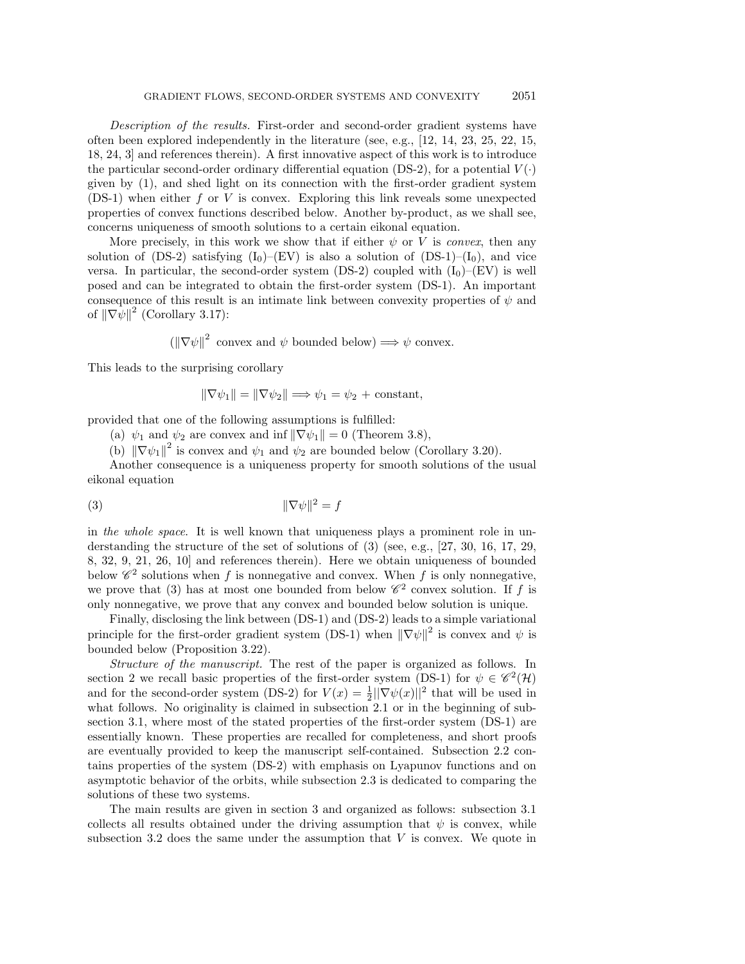Description of the results. First-order and second-order gradient systems have often been explored independently in the literature (see, e.g., [\[12,](#page-16-1) [14,](#page-16-2) [23,](#page-16-3) [25,](#page-16-4) [22,](#page-16-5) [15,](#page-16-6) [18,](#page-16-7) [24,](#page-16-8) [3\]](#page-16-9) and references therein). A first innovative aspect of this work is to introduce the particular second-order ordinary differential equation [\(DS-2\)](#page-0-0), for a potential  $V(\cdot)$ given by [\(1\)](#page-0-1), and shed light on its connection with the first-order gradient system [\(DS-1\)](#page-0-2) when either f or V is convex. Exploring this link reveals some unexpected properties of convex functions described below. Another by-product, as we shall see, concerns uniqueness of smooth solutions to a certain eikonal equation.

More precisely, in this work we show that if either  $\psi$  or V is *convex*, then any solution of [\(DS-2\)](#page-0-0) satisfying  $(I_0)$  $(I_0)$ –[\(EV\)](#page-1-1) is also a solution of [\(DS-1\)](#page-0-2)– $(I_0)$ , and vice versa. In particular, the second-order system [\(DS-2\)](#page-0-0) coupled with  $(I_0)$  $(I_0)$ –[\(EV\)](#page-1-1) is well posed and can be integrated to obtain the first-order system [\(DS-1\)](#page-0-2). An important consequence of this result is an intimate link between convexity properties of  $\psi$  and of  $\|\nabla \psi\|^2$  (Corollary 3.[17\)](#page-12-0):

 $(\|\nabla \psi\|^2 \text{ convex and } \psi \text{ bounded below}) \Longrightarrow \psi \text{ convex.}$ 

This leads to the surprising corollary

<span id="page-2-0"></span> $\|\nabla \psi_1\| = \|\nabla \psi_2\| \Longrightarrow \psi_1 = \psi_2 + \text{constant},$ 

provided that one of the following assumptions is fulfilled:

(a)  $\psi_1$  and  $\psi_2$  are convex and inf  $\|\nabla \psi_1\| = 0$  (Theorem 3.[8\)](#page-9-0),

(b)  $\|\nabla \psi_1\|^2$  is convex and  $\psi_1$  and  $\psi_2$  are bounded below (Corollary 3.[20\)](#page-13-0).

Another consequence is a uniqueness property for smooth solutions of the usual eikonal equation

$$
||\nabla \psi||^2 = f
$$

in the whole space. It is well known that uniqueness plays a prominent role in understanding the structure of the set of solutions of [\(3\)](#page-2-0) (see, e.g., [\[27,](#page-17-0) [30,](#page-17-1) [16,](#page-16-10) [17,](#page-16-11) [29,](#page-17-2) [8,](#page-16-12) [32,](#page-17-3) [9,](#page-16-13) [21,](#page-16-14) [26,](#page-16-15) [10\]](#page-16-16) and references therein). Here we obtain uniqueness of bounded below  $\mathscr{C}^2$  solutions when f is nonnegative and convex. When f is only nonnegative, we prove that [\(3\)](#page-2-0) has at most one bounded from below  $\mathscr{C}^2$  convex solution. If f is only nonnegative, we prove that any convex and bounded below solution is unique.

Finally, disclosing the link between [\(DS-1\)](#page-0-2) and [\(DS-2\)](#page-0-0) leads to a simple variational principle for the first-order gradient system [\(DS-1\)](#page-0-2) when  $\|\nabla \psi\|^2$  is convex and  $\psi$  is bounded below (Proposition 3.[22\)](#page-13-1).

Structure of the manuscript. The rest of the paper is organized as follows. In section [2](#page-3-0) we recall basic properties of the first-order system [\(DS-1\)](#page-0-2) for  $\psi \in \mathscr{C}^2(\mathcal{H})$ and for the second-order system [\(DS-2\)](#page-0-0) for  $V(x) = \frac{1}{2} ||\nabla \psi(x)||^2$  that will be used in what follows. No originality is claimed in subsection 2.[1](#page-3-1) or in the beginning of subsection 3.[1,](#page-7-0) where most of the stated properties of the first-order system [\(DS-1\)](#page-0-2) are essentially known. These properties are recalled for completeness, and short proofs are eventually provided to keep the manuscript self-contained. Subsection 2.[2](#page-4-0) contains properties of the system [\(DS-2\)](#page-0-0) with emphasis on Lyapunov functions and on asymptotic behavior of the orbits, while subsection [2](#page-6-0).3 is dedicated to comparing the solutions of these two systems.

The main results are given in section [3](#page-7-1) and organized as follows: subsection [3](#page-7-0).1 collects all results obtained under the driving assumption that  $\psi$  is convex, while subsection 3.[2](#page-11-0) does the same under the assumption that  $V$  is convex. We quote in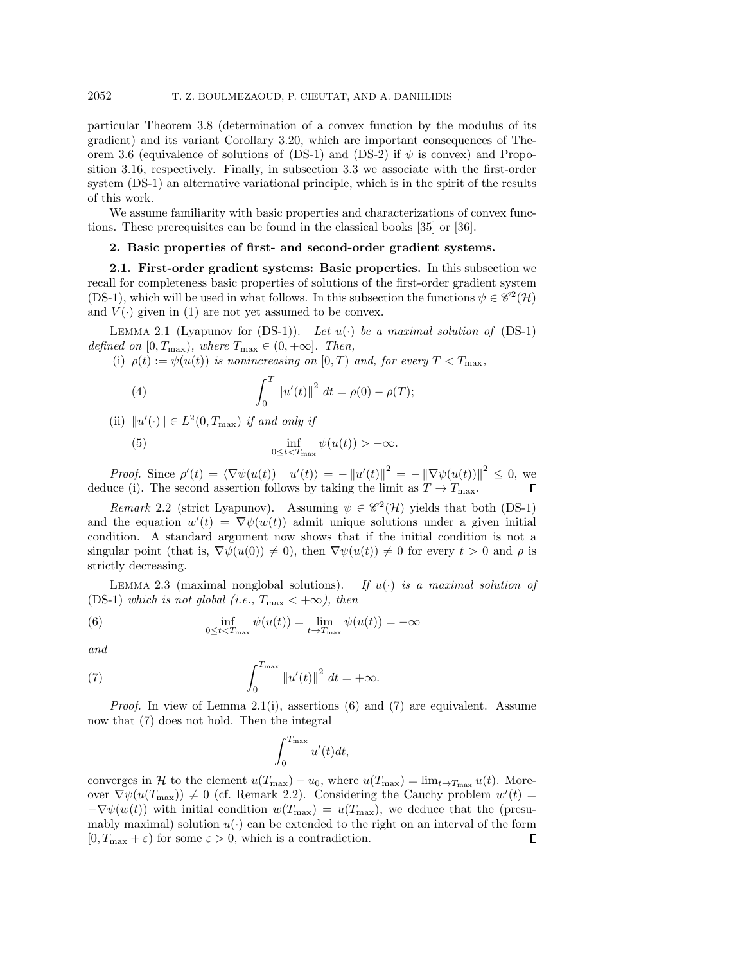particular Theorem 3.[8](#page-9-0) (determination of a convex function by the modulus of its gradient) and its variant Corollary 3.[20,](#page-13-0) which are important consequences of The-orem [3](#page-9-1).6 (equivalence of solutions of [\(DS-1\)](#page-0-2) and [\(DS-2\)](#page-0-0) if  $\psi$  is convex) and Proposition 3.[16,](#page-12-1) respectively. Finally, in subsection 3.[3](#page-13-2) we associate with the first-order system [\(DS-1\)](#page-0-2) an alternative variational principle, which is in the spirit of the results of this work.

We assume familiarity with basic properties and characterizations of convex functions. These prerequisites can be found in the classical books [\[35\]](#page-17-4) or [\[36\]](#page-17-5).

## <span id="page-3-0"></span>2. Basic properties of first- and second-order gradient systems.

<span id="page-3-1"></span>2.1. First-order gradient systems: Basic properties. In this subsection we recall for completeness basic properties of solutions of the first-order gradient system [\(DS-1\)](#page-0-2), which will be used in what follows. In this subsection the functions  $\psi \in \mathscr{C}^2(\mathcal{H})$ and  $V(\cdot)$  given in [\(1\)](#page-0-1) are not yet assumed to be convex.

<span id="page-3-2"></span>LEMMA 2.1 (Lyapunov for  $(DS-1)$ ). Let  $u(\cdot)$  be a maximal solution of  $(DS-1)$ defined on  $[0, T_{\text{max}})$ , where  $T_{\text{max}} \in (0, +\infty]$ . Then,

(i)  $\rho(t) := \psi(u(t))$  is nonincreasing on  $[0, T)$  and, for every  $T < T_{\text{max}}$ ,

(4) 
$$
\int_0^T \|u'(t)\|^2 dt = \rho(0) - \rho(T);
$$

(ii)  $||u'(\cdot)|| \in L^2(0, T_{\text{max}})$  if and only if

<span id="page-3-6"></span>(5) 
$$
\inf_{0 \leq t < T_{\max}} \psi(u(t)) > -\infty.
$$

*Proof.* Since  $\rho'(t) = \langle \nabla \psi(u(t)) | u'(t) \rangle = - ||u'(t)||^2 = - ||\nabla \psi(u(t))||^2 \leq 0$ , we deduce (i). The second assertion follows by taking the limit as  $T \to T_{\text{max}}$ . П

<span id="page-3-5"></span>Remark 2.2 (strict Lyapunov). Assuming  $\psi \in \mathscr{C}^2(\mathcal{H})$  yields that both [\(DS-1\)](#page-0-2) and the equation  $w'(t) = \nabla \psi(w(t))$  admit unique solutions under a given initial condition. A standard argument now shows that if the initial condition is not a singular point (that is,  $\nabla \psi(u(0)) \neq 0$ ), then  $\nabla \psi(u(t)) \neq 0$  for every  $t > 0$  and  $\rho$  is strictly decreasing.

<span id="page-3-7"></span>LEMMA 2.3 (maximal nonglobal solutions). If  $u(\cdot)$  is a maximal solution of [\(DS-1\)](#page-0-2) which is not global (i.e.,  $T_{\text{max}} < +\infty$ ), then

<span id="page-3-3"></span>(6) 
$$
\inf_{0 \leq t < T_{\text{max}}} \psi(u(t)) = \lim_{t \to T_{\text{max}}} \psi(u(t)) = -\infty
$$

and

(7) 
$$
\int_0^{T_{\max}} \left\|u'(t)\right\|^2 dt = +\infty.
$$

*Proof.* In view of Lemma [2](#page-3-2).1(i), assertions [\(6\)](#page-3-3) and [\(7\)](#page-3-4) are equivalent. Assume now that [\(7\)](#page-3-4) does not hold. Then the integral

<span id="page-3-4"></span>
$$
\int_0^{T_{\max}} u'(t)dt,
$$

<span id="page-3-8"></span>converges in H to the element  $u(T_{\text{max}}) - u_0$ , where  $u(T_{\text{max}}) = \lim_{t \to T_{\text{max}}} u(t)$ . Moreover  $\nabla \psi(u(T_{\text{max}})) \neq 0$  (cf. Remark [2](#page-3-5).2). Considering the Cauchy problem  $w'(t) =$  $-\nabla\psi(w(t))$  with initial condition  $w(T_{\text{max}}) = u(T_{\text{max}})$ , we deduce that the (presumably maximal) solution  $u(\cdot)$  can be extended to the right on an interval of the form  $[0, T_{\text{max}} + \varepsilon)$  for some  $\varepsilon > 0$ , which is a contradiction.  $\Box$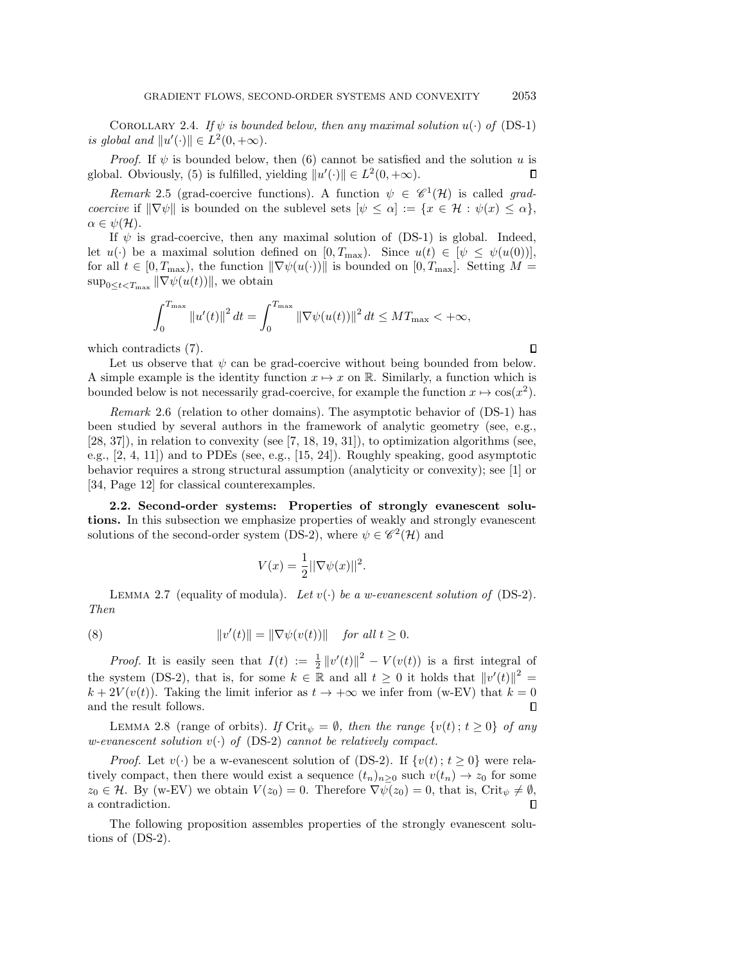COROLLARY 2.4. If  $\psi$  is bounded below, then any maximal solution  $u(\cdot)$  of [\(DS-1\)](#page-0-2) is global and  $||u'(\cdot)|| \in L^2(0, +\infty)$ .

*Proof.* If  $\psi$  is bounded below, then [\(6\)](#page-3-3) cannot be satisfied and the solution u is global. Obviously, [\(5\)](#page-3-6) is fulfilled, yielding  $||u'(\cdot)|| \in L^2(0, +\infty)$ . П

Remark 2.5 (grad-coercive functions). A function  $\psi \in \mathscr{C}^1(\mathcal{H})$  is called gradcoercive if  $\|\nabla\psi\|$  is bounded on the sublevel sets  $[\psi \leq \alpha] := \{x \in \mathcal{H} : \psi(x) \leq \alpha\},\$  $\alpha \in \psi(\mathcal{H}).$ 

If  $\psi$  is grad-coercive, then any maximal solution of [\(DS-1\)](#page-0-2) is global. Indeed, let  $u(\cdot)$  be a maximal solution defined on  $[0, T_{\text{max}})$ . Since  $u(t) \in [\psi \leq \psi(u(0))],$ for all  $t \in [0, T_{\text{max}})$ , the function  $\|\nabla \psi(u(\cdot))\|$  is bounded on  $[0, T_{\text{max}}]$ . Setting  $M =$  $\sup_{0 \leq t < T_{\max}} \|\nabla \psi(u(t))\|$ , we obtain

$$
\int_0^{T_{\max}} \|u'(t)\|^2 dt = \int_0^{T_{\max}} \|\nabla \psi(u(t))\|^2 dt \le MT_{\max} < +\infty,
$$

which contradicts [\(7\)](#page-3-4).

 $\Box$ 

Let us observe that  $\psi$  can be grad-coercive without being bounded from below. A simple example is the identity function  $x \mapsto x$  on R. Similarly, a function which is bounded below is not necessarily grad-coercive, for example the function  $x \mapsto \cos(x^2)$ .

Remark 2.6 (relation to other domains). The asymptotic behavior of [\(DS-1\)](#page-0-2) has been studied by several authors in the framework of analytic geometry (see, e.g.,  $[28, 37]$  $[28, 37]$ ), in relation to convexity (see  $[7, 18, 19, 31]$  $[7, 18, 19, 31]$  $[7, 18, 19, 31]$  $[7, 18, 19, 31]$ ), to optimization algorithms (see, e.g., [\[2,](#page-16-19) [4,](#page-16-20) [11\]](#page-16-21)) and to PDEs (see, e.g., [\[15,](#page-16-6) [24\]](#page-16-8)). Roughly speaking, good asymptotic behavior requires a strong structural assumption (analyticity or convexity); see [\[1\]](#page-16-22) or [\[34,](#page-17-9) Page 12] for classical counterexamples.

<span id="page-4-0"></span>2.2. Second-order systems: Properties of strongly evanescent solutions. In this subsection we emphasize properties of weakly and strongly evanescent solutions of the second-order system [\(DS-2\)](#page-0-0), where  $\psi \in \mathscr{C}^2(\mathcal{H})$  and

<span id="page-4-2"></span>
$$
V(x) = \frac{1}{2} \|\nabla \psi(x)\|^2.
$$

<span id="page-4-1"></span>LEMMA 2.7 (equality of modula). Let  $v(\cdot)$  be a w-evanescent solution of [\(DS-2\)](#page-0-0). Then

(8) 
$$
||v'(t)|| = ||\nabla \psi(v(t))|| \quad \text{for all } t \ge 0.
$$

*Proof.* It is easily seen that  $I(t) := \frac{1}{2} ||v'(t)||^2 - V(v(t))$  is a first integral of the system [\(DS-2\)](#page-0-0), that is, for some  $k \in \mathbb{R}$  and all  $t \geq 0$  it holds that  $||v'(t)||^2 =$  $k + 2V(v(t))$ . Taking the limit inferior as  $t \to +\infty$  we infer from [\(w-EV\)](#page-1-0) that  $k = 0$ and the result follows.

LEMMA 2.8 (range of orbits). If Crit<sub> $\psi = \emptyset$ , then the range  $\{v(t) : t \geq 0\}$  of any</sub> w-evanescent solution  $v(\cdot)$  of [\(DS-2\)](#page-0-0) cannot be relatively compact.

*Proof.* Let  $v(\cdot)$  be a w-evanescent solution of [\(DS-2\)](#page-0-0). If  $\{v(t); t \geq 0\}$  were relatively compact, then there would exist a sequence  $(t_n)_{n\geq 0}$  such  $v(t_n) \to z_0$  for some  $z_0 \in \mathcal{H}$ . By [\(w-EV\)](#page-1-0) we obtain  $V(z_0) = 0$ . Therefore  $\nabla \psi(z_0) = 0$ , that is, Crit<sub> $\psi \neq \emptyset$ ,</sub> a contradiction.  $\Box$ 

<span id="page-4-3"></span>The following proposition assembles properties of the strongly evanescent solutions of [\(DS-2\)](#page-0-0).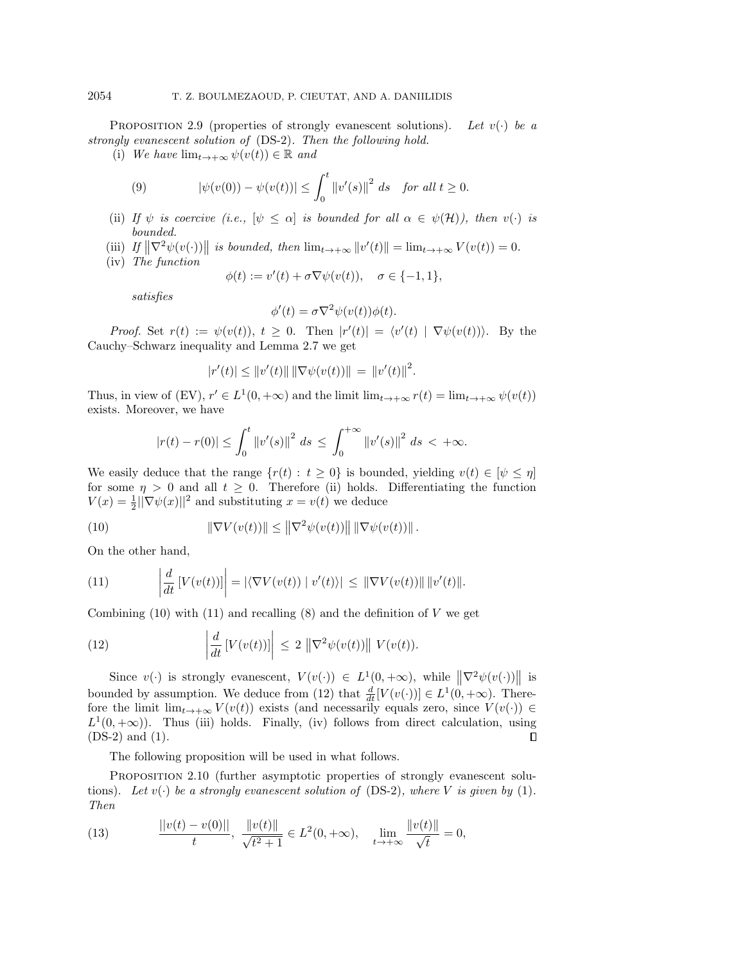PROPOSITION 2.9 (properties of strongly evanescent solutions). Let  $v(\cdot)$  be a strongly evanescent solution of [\(DS-2\)](#page-0-0). Then the following hold.

(i) We have  $\lim_{t\to+\infty}\psi(v(t))\in\mathbb{R}$  and

(9) 
$$
|\psi(v(0)) - \psi(v(t))| \le \int_0^t ||v'(s)||^2 ds \text{ for all } t \ge 0.
$$

- (ii) If  $\psi$  is coercive (i.e.,  $[\psi \leq \alpha]$  is bounded for all  $\alpha \in \psi(\mathcal{H})$ ), then  $v(\cdot)$  is bounded.
- (iii) If  $\|\nabla^2 \psi(v(\cdot))\|$  is bounded, then  $\lim_{t\to+\infty} \|v'(t)\| = \lim_{t\to+\infty} V(v(t)) = 0.$
- (iv) The function

$$
\phi(t) := v'(t) + \sigma \nabla \psi(v(t)), \quad \sigma \in \{-1, 1\},\
$$

satisfies

$$
\phi'(t) = \sigma \nabla^2 \psi(v(t)) \phi(t).
$$

Proof. Set  $r(t) := \psi(v(t)), t \geq 0$ . Then  $|r'(t)| = \langle v'(t) | \nabla \psi(v(t)) \rangle$ . By the Cauchy–Schwarz inequality and Lemma 2.[7](#page-4-1) we get

$$
|r'(t)| \leq ||v'(t)|| \, ||\nabla \psi(v(t))|| = ||v'(t)||^2.
$$

Thus, in view of [\(EV\)](#page-1-1),  $r' \in L^1(0, +\infty)$  and the limit  $\lim_{t \to +\infty} r(t) = \lim_{t \to +\infty} \psi(v(t))$ exists. Moreover, we have

<span id="page-5-0"></span>
$$
|r(t) - r(0)| \le \int_0^t \|v'(s)\|^2 \ ds \le \int_0^{+\infty} \|v'(s)\|^2 \ ds < +\infty.
$$

We easily deduce that the range  $\{r(t): t \geq 0\}$  is bounded, yielding  $v(t) \in [\psi \leq \eta]$ for some  $\eta > 0$  and all  $t \geq 0$ . Therefore (ii) holds. Differentiating the function  $V(x) = \frac{1}{2} \|\nabla \psi(x)\|^2$  and substituting  $x = v(t)$  we deduce

(10) 
$$
\|\nabla V(v(t))\| \le \|\nabla^2 \psi(v(t))\| \|\nabla \psi(v(t))\|.
$$

On the other hand,

<span id="page-5-1"></span>(11) 
$$
\left| \frac{d}{dt} \left[ V(v(t)) \right] \right| = \left| \langle \nabla V(v(t)) \mid v'(t) \rangle \right| \leq \left\| \nabla V(v(t)) \right\| \left\| v'(t) \right\|.
$$

Combining  $(10)$  with  $(11)$  and recalling  $(8)$  and the definition of V we get

<span id="page-5-2"></span>(12) 
$$
\left| \frac{d}{dt} \left[ V(v(t)) \right] \right| \leq 2 \left\| \nabla^2 \psi(v(t)) \right\| V(v(t)).
$$

Since  $v(\cdot)$  is strongly evanescent,  $V(v(\cdot)) \in L^1(0, +\infty)$ , while  $\|\nabla^2 \psi(v(\cdot))\|$  is bounded by assumption. We deduce from [\(12\)](#page-5-2) that  $\frac{d}{dt}[V(v(\cdot))] \in L^1(0, +\infty)$ . Therefore the limit  $\lim_{t\to+\infty} V(v(t))$  exists (and necessarily equals zero, since  $V(v(\cdot)) \in$  $L^1(0, +\infty)$ ). Thus (iii) holds. Finally, (iv) follows from direct calculation, using  $\Box$ [\(DS-2\)](#page-0-0) and [\(1\)](#page-0-1).

The following proposition will be used in what follows.

<span id="page-5-3"></span>PROPOSITION 2.10 (further asymptotic properties of strongly evanescent solutions). Let  $v(\cdot)$  be a strongly evanescent solution of [\(DS-2\)](#page-0-0), where V is given by [\(1\)](#page-0-1). Then

(13) 
$$
\frac{\|v(t) - v(0)\|}{t}, \frac{\|v(t)\|}{\sqrt{t^2 + 1}} \in L^2(0, +\infty), \quad \lim_{t \to +\infty} \frac{\|v(t)\|}{\sqrt{t}} = 0,
$$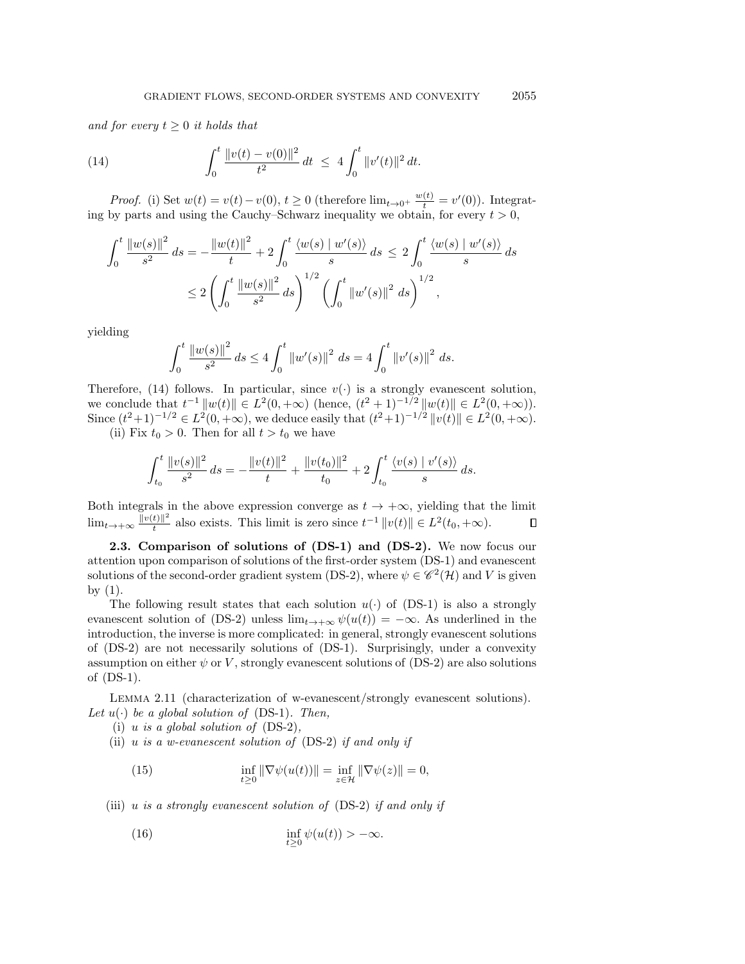and for every  $t \geq 0$  it holds that

<span id="page-6-1"></span>(14) 
$$
\int_0^t \frac{\|v(t) - v(0)\|^2}{t^2} dt \le 4 \int_0^t \|v'(t)\|^2 dt.
$$

*Proof.* (i) Set  $w(t) = v(t) - v(0), t \ge 0$  (therefore  $\lim_{t \to 0^+} \frac{w(t)}{t} = v'(0)$ ). Integrating by parts and using the Cauchy–Schwarz inequality we obtain, for every  $t > 0$ ,

$$
\int_0^t \frac{\|w(s)\|^2}{s^2} ds = -\frac{\|w(t)\|^2}{t} + 2\int_0^t \frac{\langle w(s) \mid w'(s) \rangle}{s} ds \le 2\int_0^t \frac{\langle w(s) \mid w'(s) \rangle}{s} ds
$$
  

$$
\le 2\left(\int_0^t \frac{\|w(s)\|^2}{s^2} ds\right)^{1/2} \left(\int_0^t \|w'(s)\|^2 ds\right)^{1/2},
$$

yielding

$$
\int_0^t \frac{\|w(s)\|^2}{s^2} ds \le 4 \int_0^t \|w'(s)\|^2 ds = 4 \int_0^t \|v'(s)\|^2 ds.
$$

Therefore, [\(14\)](#page-6-1) follows. In particular, since  $v(\cdot)$  is a strongly evanescent solution, we conclude that  $t^{-1} ||w(t)|| \in L^2(0, +\infty)$  (hence,  $(t^2 + 1)^{-1/2} ||w(t)|| \in L^2(0, +\infty)$ ). Since  $(t^2+1)^{-1/2} \in L^2(0, +\infty)$ , we deduce easily that  $(t^2+1)^{-1/2} ||v(t)|| \in L^2(0, +\infty)$ . (ii) Fix  $t_0 > 0$ . Then for all  $t > t_0$  we have

$$
\int_{t_0}^t \frac{\|v(s)\|^2}{s^2} ds = -\frac{\|v(t)\|^2}{t} + \frac{\|v(t_0)\|^2}{t_0} + 2\int_{t_0}^t \frac{\langle v(s) \mid v'(s) \rangle}{s} ds.
$$

Both integrals in the above expression converge as  $t \to +\infty$ , yielding that the limit  $\lim_{t\to+\infty}\frac{\|v(t)\|^2}{t}$  $\frac{t}{t}$  also exists. This limit is zero since  $t^{-1} ||v(t)|| \in L^2(t_0, +\infty)$ .  $\Box$ 

<span id="page-6-0"></span>2.3. Comparison of solutions of [\(DS-1\)](#page-0-2) and [\(DS-2\)](#page-0-0). We now focus our attention upon comparison of solutions of the first-order system [\(DS-1\)](#page-0-2) and evanescent solutions of the second-order gradient system [\(DS-2\)](#page-0-0), where  $\psi \in \mathscr{C}^2(\mathcal{H})$  and V is given by  $(1)$ .

The following result states that each solution  $u(\cdot)$  of [\(DS-1\)](#page-0-2) is also a strongly evanescent solution of [\(DS-2\)](#page-0-0) unless  $\lim_{t\to+\infty}\psi(u(t)) = -\infty$ . As underlined in the introduction, the inverse is more complicated: in general, strongly evanescent solutions of [\(DS-2\)](#page-0-0) are not necessarily solutions of [\(DS-1\)](#page-0-2). Surprisingly, under a convexity assumption on either  $\psi$  or V, strongly evanescent solutions of [\(DS-2\)](#page-0-0) are also solutions of [\(DS-1\)](#page-0-2).

<span id="page-6-3"></span>Lemma 2.11 (characterization of w-evanescent/strongly evanescent solutions). Let  $u(\cdot)$  be a global solution of [\(DS-1\)](#page-0-2). Then,

- (i) u is a global solution of  $(DS-2)$ ,
- (ii) u is a w-evanescent solution of  $(DS-2)$  if and only if

<span id="page-6-2"></span>(15) 
$$
\inf_{t \geq 0} \|\nabla \psi(u(t))\| = \inf_{z \in \mathcal{H}} \|\nabla \psi(z)\| = 0,
$$

(iii) u is a strongly evanescent solution of  $(DS-2)$  if and only if

<span id="page-6-4"></span>(16) 
$$
\inf_{t\geq 0}\psi(u(t)) > -\infty.
$$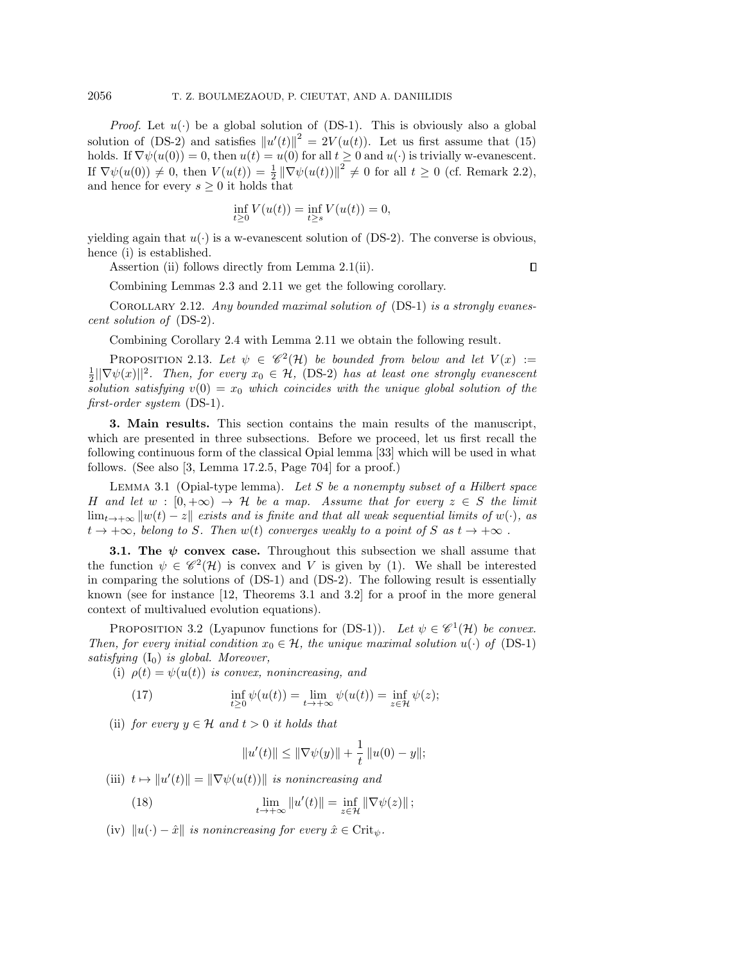*Proof.* Let  $u(\cdot)$  be a global solution of [\(DS-1\)](#page-0-2). This is obviously also a global solution of [\(DS-2\)](#page-0-0) and satisfies  $||u'(t)||^2 = 2V(u(t))$ . Let us first assume that [\(15\)](#page-6-2) holds. If  $\nabla \psi(u(0)) = 0$ , then  $u(t) = u(0)$  for all  $t \geq 0$  and  $u(\cdot)$  is trivially w-evanescent. If  $\nabla \psi(u(0)) \neq 0$ , then  $V(u(t)) = \frac{1}{2} ||\nabla \psi(u(t))||^2 \neq 0$  for all  $t \geq 0$  (cf. Remark 2.[2\)](#page-3-5), and hence for every  $s \geq 0$  it holds that

$$
\inf_{t \ge 0} V(u(t)) = \inf_{t \ge s} V(u(t)) = 0,
$$

yielding again that  $u(\cdot)$  is a w-evanescent solution of [\(DS-2\)](#page-0-0). The converse is obvious, hence (i) is established.

Assertion (ii) follows directly from Lemma 2.[1\(](#page-3-2)ii).

 $\Box$ 

Combining Lemmas 2.[3](#page-3-7) and 2.[11](#page-6-3) we get the following corollary.

COROLLARY 2.12. Any bounded maximal solution of  $(DS-1)$  is a strongly evanescent solution of [\(DS-2\)](#page-0-0).

Combining Corollary [2](#page-3-8).4 with Lemma 2.[11](#page-6-3) we obtain the following result.

PROPOSITION 2.13. Let  $\psi \in \mathscr{C}^2(\mathcal{H})$  be bounded from below and let  $V(x) :=$  $\frac{1}{2}||\nabla \psi(x)||^2$ . Then, for every  $x_0 \in \mathcal{H}$ , [\(DS-2\)](#page-0-0) has at least one strongly evanescent solution satisfying  $v(0) = x_0$  which coincides with the unique global solution of the first-order system [\(DS-1\)](#page-0-2).

<span id="page-7-1"></span>3. Main results. This section contains the main results of the manuscript, which are presented in three subsections. Before we proceed, let us first recall the following continuous form of the classical Opial lemma [\[33\]](#page-17-10) which will be used in what follows. (See also [\[3,](#page-16-9) Lemma 17.2.5, Page 704] for a proof.)

<span id="page-7-5"></span>LEMMA 3.1 (Opial-type lemma). Let S be a nonempty subset of a Hilbert space H and let  $w : [0, +\infty) \to \mathcal{H}$  be a map. Assume that for every  $z \in S$  the limit  $\lim_{t\to+\infty}$   $\|w(t)-z\|$  exists and is finite and that all weak sequential limits of w(·), as  $t \to +\infty$ , belong to S. Then  $w(t)$  converges weakly to a point of S as  $t \to +\infty$ .

<span id="page-7-0"></span>**3.1. The**  $\psi$  **convex case.** Throughout this subsection we shall assume that the function  $\psi \in \mathscr{C}^2(\mathcal{H})$  is convex and V is given by [\(1\)](#page-0-1). We shall be interested in comparing the solutions of [\(DS-1\)](#page-0-2) and [\(DS-2\)](#page-0-0). The following result is essentially known (see for instance [\[12,](#page-16-1) Theorems 3.1 and 3.2] for a proof in the more general context of multivalued evolution equations).

<span id="page-7-2"></span>PROPOSITION 3.2 (Lyapunov functions for [\(DS-1\)](#page-0-2)). Let  $\psi \in \mathscr{C}^1(\mathcal{H})$  be convex. Then, for every initial condition  $x_0 \in \mathcal{H}$ , the unique maximal solution  $u(\cdot)$  of [\(DS-1\)](#page-0-2) satisfying  $(I_0)$  $(I_0)$  is global. Moreover,

(i)  $\rho(t) = \psi(u(t))$  is convex, nonincreasing, and

(17) 
$$
\inf_{t \geq 0} \psi(u(t)) = \lim_{t \to +\infty} \psi(u(t)) = \inf_{z \in \mathcal{H}} \psi(z);
$$

(ii) for every  $y \in \mathcal{H}$  and  $t > 0$  it holds that

<span id="page-7-4"></span><span id="page-7-3"></span>
$$
||u'(t)|| \le ||\nabla \psi(y)|| + \frac{1}{t} ||u(0) - y||;
$$

(iii)  $t \mapsto ||u'(t)|| = ||\nabla \psi(u(t))||$  is nonincreasing and

(18) 
$$
\lim_{t \to +\infty} ||u'(t)|| = \inf_{z \in \mathcal{H}} ||\nabla \psi(z)||;
$$

(iv)  $||u(\cdot) - \hat{x}||$  is nonincreasing for every  $\hat{x} \in \text{Crit}_{\psi}$ .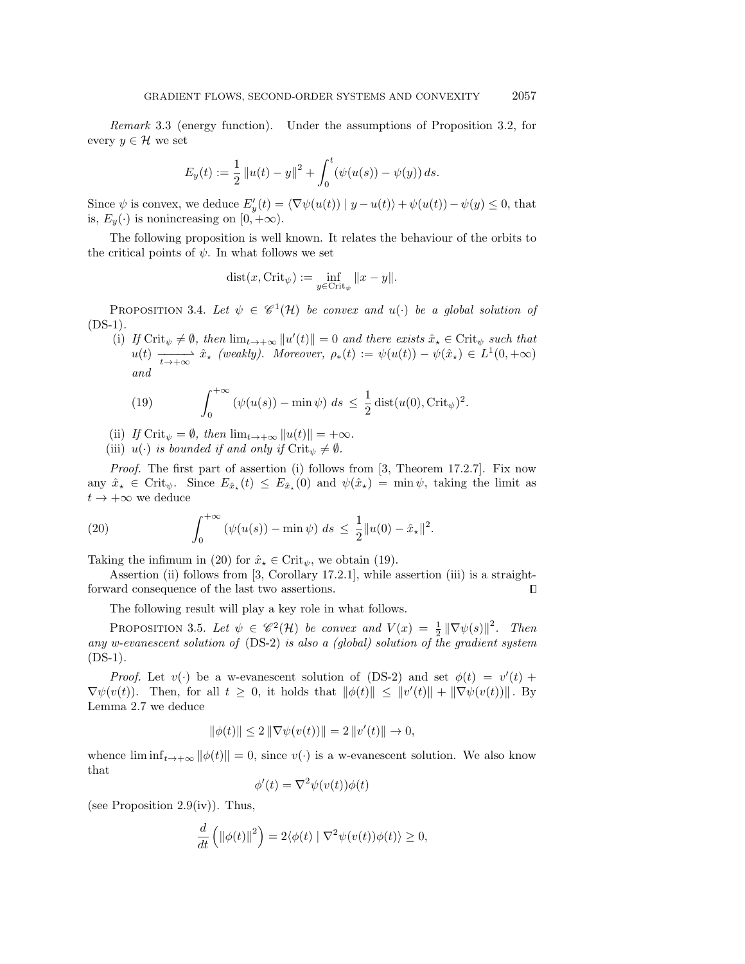Remark 3.3 (energy function). Under the assumptions of Proposition 3.[2,](#page-7-2) for every  $y \in \mathcal{H}$  we set

$$
E_y(t) := \frac{1}{2} ||u(t) - y||^2 + \int_0^t (\psi(u(s)) - \psi(y)) ds.
$$

Since  $\psi$  is convex, we deduce  $E'_y(t) = \langle \nabla \psi(u(t)) | y - u(t) \rangle + \psi(u(t)) - \psi(y) \leq 0$ , that is,  $E_y(\cdot)$  is nonincreasing on  $[0, +\infty)$ .

The following proposition is well known. It relates the behaviour of the orbits to the critical points of  $\psi$ . In what follows we set

$$
dist(x, \text{Crit}_{\psi}) := \inf_{y \in \text{Crit}_{\psi}} ||x - y||.
$$

<span id="page-8-3"></span>PROPOSITION 3.4. Let  $\psi \in \mathscr{C}^1(\mathcal{H})$  be convex and  $u(\cdot)$  be a global solution of  $(DS-1)$ .

(i) If Crit<sub> $\psi \neq \emptyset$ , then  $\lim_{t\to+\infty} ||u'(t)|| = 0$  and there exists  $\hat{x}_\star \in \text{Crit}_{\psi}$  such that</sub>  $u(t) \longrightarrow_{t \to +\infty} \hat{x}_\star$  (weakly). Moreover,  $\rho_*(t) := \psi(u(t)) - \psi(\hat{x}_\star) \in L^1(0, +\infty)$ and

<span id="page-8-1"></span>(19) 
$$
\int_0^{+\infty} \left(\psi(u(s)) - \min \psi\right) ds \leq \frac{1}{2} \operatorname{dist}(u(0), \operatorname{Crit}_{\psi})^2.
$$

(ii) If  $\operatorname{Crit}_{\psi} = \emptyset$ , then  $\lim_{t \to +\infty} ||u(t)|| = +\infty$ .

(iii)  $u(\cdot)$  is bounded if and only if  $\mathrm{Crit}_\psi \neq \emptyset$ .

Proof. The first part of assertion (i) follows from [\[3,](#page-16-9) Theorem 17.2.7]. Fix now any  $\hat{x}_{\star} \in \text{Crit}_{\psi}$ . Since  $E_{\hat{x}_{\star}}(t) \leq E_{\hat{x}_{\star}}(0)$  and  $\psi(\hat{x}_{\star}) = \min \psi$ , taking the limit as  $t \to +\infty$  we deduce

<span id="page-8-0"></span>(20) 
$$
\int_0^{+\infty} (\psi(u(s)) - \min \psi) ds \leq \frac{1}{2} ||u(0) - \hat{x}_*||^2.
$$

Taking the infimum in [\(20\)](#page-8-0) for  $\hat{x}_{\star} \in \text{Crit}_{\psi}$ , we obtain [\(19\)](#page-8-1).

Assertion (ii) follows from [\[3,](#page-16-9) Corollary 17.2.1], while assertion (iii) is a straightforward consequence of the last two assertions.  $\Box$ 

The following result will play a key role in what follows.

<span id="page-8-2"></span>PROPOSITION 3.5. Let  $\psi \in \mathscr{C}^2(\mathcal{H})$  be convex and  $V(x) = \frac{1}{2} ||\nabla \psi(s)||^2$ . Then any w-evanescent solution of [\(DS-2\)](#page-0-0) is also a (global) solution of the gradient system  $(DS-1)$ .

*Proof.* Let  $v(\cdot)$  be a w-evanescent solution of [\(DS-2\)](#page-0-0) and set  $\phi(t) = v'(t)$  +  $\nabla \psi(v(t))$ . Then, for all  $t \geq 0$ , it holds that  $\|\phi(t)\| \leq \|v'(t)\| + \|\nabla \psi(v(t))\|$ . By Lemma 2.[7](#page-4-1) we deduce

$$
\|\phi(t)\| \le 2\|\nabla \psi(v(t))\| = 2\|v'(t)\| \to 0,
$$

whence  $\liminf_{t\to+\infty} ||\phi(t)|| = 0$ , since  $v(\cdot)$  is a w-evanescent solution. We also know that

$$
\phi'(t) = \nabla^2 \psi(v(t))\phi(t)
$$

(see Proposition 2.[9\(](#page-4-3)iv)). Thus,

$$
\frac{d}{dt}\left(\left\|\phi(t)\right\|^2\right) = 2\langle\phi(t) | \nabla^2\psi(v(t))\phi(t)\rangle \ge 0,
$$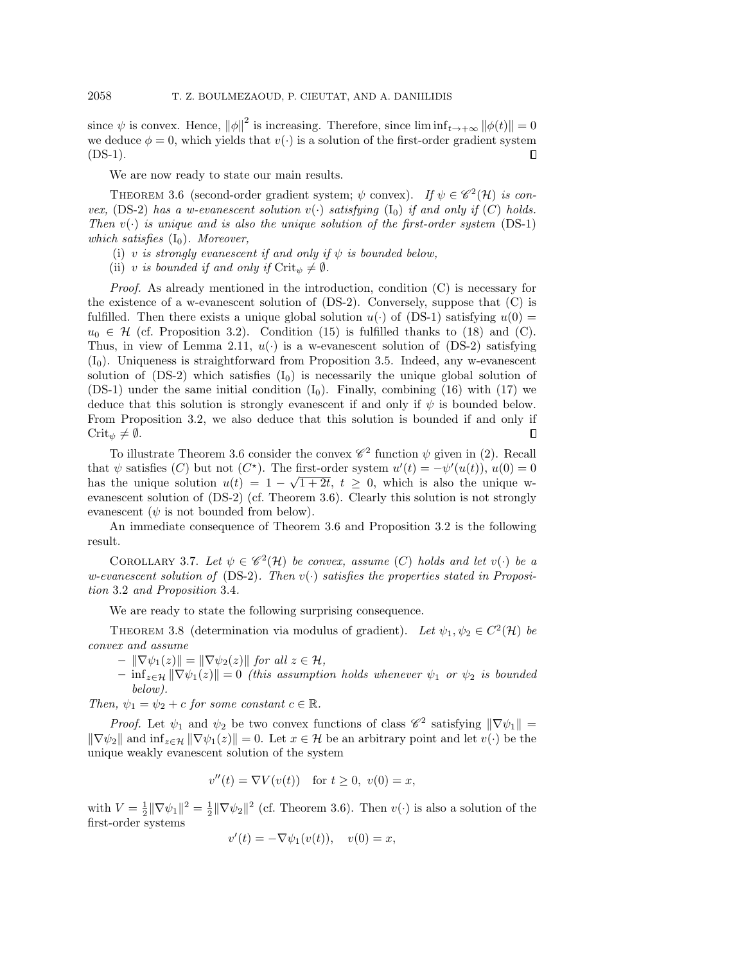since  $\psi$  is convex. Hence,  $\|\phi\|^2$  is increasing. Therefore, since  $\liminf_{t\to+\infty} \|\phi(t)\| = 0$ we deduce  $\phi = 0$ , which yields that  $v(\cdot)$  is a solution of the first-order gradient system  $(DS-1)$ .  $\Box$ 

We are now ready to state our main results.

<span id="page-9-1"></span>THEOREM 3.6 (second-order gradient system;  $\psi$  convex). If  $\psi \in \mathscr{C}^2(\mathcal{H})$  is con-vex, [\(DS-2\)](#page-0-0) has a w-evanescent solution  $v(\cdot)$  satisfying  $(I_0)$  $(I_0)$  if and only if  $(C)$  holds. Then  $v(\cdot)$  is unique and is also the unique solution of the first-order system [\(DS-1\)](#page-0-2) which satisfies  $(I_0)$  $(I_0)$ . Moreover,

- (i) v is strongly evanescent if and only if  $\psi$  is bounded below,
- (ii) v is bounded if and only if  $\operatorname{Crit}_\psi \neq \emptyset$ .

Proof. As already mentioned in the introduction, condition (C) is necessary for the existence of a w-evanescent solution of  $(DS-2)$ . Conversely, suppose that  $(C)$  is fulfilled. Then there exists a unique global solution  $u(\cdot)$  of [\(DS-1\)](#page-0-2) satisfying  $u(0) =$  $u_0 \in \mathcal{H}$  (cf. Proposition 3.[2\)](#page-7-2). Condition [\(15\)](#page-6-2) is fulfilled thanks to [\(18\)](#page-7-3) and (C). Thus, in view of Lemma 2.[11,](#page-6-3)  $u(\cdot)$  is a w-evanescent solution of [\(DS-2\)](#page-0-0) satisfying [\(I](#page-1-2)0). Uniqueness is straightforward from Proposition 3.[5.](#page-8-2) Indeed, any w-evanescent solution of  $(DS-2)$  which satisfies  $(I_0)$  $(I_0)$  is necessarily the unique global solution of [\(DS-1\)](#page-0-2) under the same initial condition  $(I_0)$  $(I_0)$ . Finally, combining [\(16\)](#page-6-4) with [\(17\)](#page-7-4) we deduce that this solution is strongly evanescent if and only if  $\psi$  is bounded below. From Proposition [3](#page-7-2).2, we also deduce that this solution is bounded if and only if  $Crit_{\psi} \neq \emptyset$ .  $\Box$ 

To illustrate Theorem [3](#page-9-1).6 consider the convex  $\mathscr{C}^2$  function  $\psi$  given in [\(2\)](#page-1-3). Recall that  $\psi$  satisfies (C) but not (C<sup>\*</sup>). The first-order system  $u'(t) = -\psi'(u(t))$ ,  $u(0) = 0$ has the unique solution  $u(t) = 1 - \sqrt{1+2t}$ ,  $t \geq 0$ , which is also the unique wevanescent solution of [\(DS-2\)](#page-0-0) (cf. Theorem 3.[6\)](#page-9-1). Clearly this solution is not strongly evanescent  $(\psi \text{ is not bounded from below}).$ 

An immediate consequence of Theorem 3.[6](#page-9-1) and Proposition 3.[2](#page-7-2) is the following result.

<span id="page-9-2"></span>COROLLARY 3.7. Let  $\psi \in \mathscr{C}^2(\mathcal{H})$  be convex, assume (C) holds and let  $v(\cdot)$  be a w-evanescent solution of [\(DS-2\)](#page-0-0). Then  $v(\cdot)$  satisfies the properties stated in Proposition [3](#page-7-2).2 and Proposition [3](#page-8-3).4.

We are ready to state the following surprising consequence.

<span id="page-9-0"></span>THEOREM 3.8 (determination via modulus of gradient). Let  $\psi_1, \psi_2 \in C^2(\mathcal{H})$  be convex and assume

$$
- \| \nabla \psi_1(z) \| = \| \nabla \psi_2(z) \| \text{ for all } z \in \mathcal{H},
$$

 $-\inf_{z\in\mathcal{H}}\|\nabla\psi_1(z)\|=0$  (this assumption holds whenever  $\psi_1$  or  $\psi_2$  is bounded below).

Then,  $\psi_1 = \psi_2 + c$  for some constant  $c \in \mathbb{R}$ .

*Proof.* Let  $\psi_1$  and  $\psi_2$  be two convex functions of class  $\mathscr{C}^2$  satisfying  $\|\nabla \psi_1\|$  =  $\|\nabla \psi_2\|$  and  $\inf_{z \in \mathcal{H}} \|\nabla \psi_1(z)\| = 0$ . Let  $x \in \mathcal{H}$  be an arbitrary point and let  $v(\cdot)$  be the unique weakly evanescent solution of the system

$$
v''(t) = \nabla V(v(t)) \quad \text{for } t \ge 0, \ v(0) = x,
$$

with  $V = \frac{1}{2} \|\nabla \psi_1\|^2 = \frac{1}{2} \|\nabla \psi_2\|^2$  (cf. Theorem 3.[6\)](#page-9-1). Then  $v(\cdot)$  is also a solution of the first-order systems

$$
v'(t) = -\nabla \psi_1(v(t)), \quad v(0) = x,
$$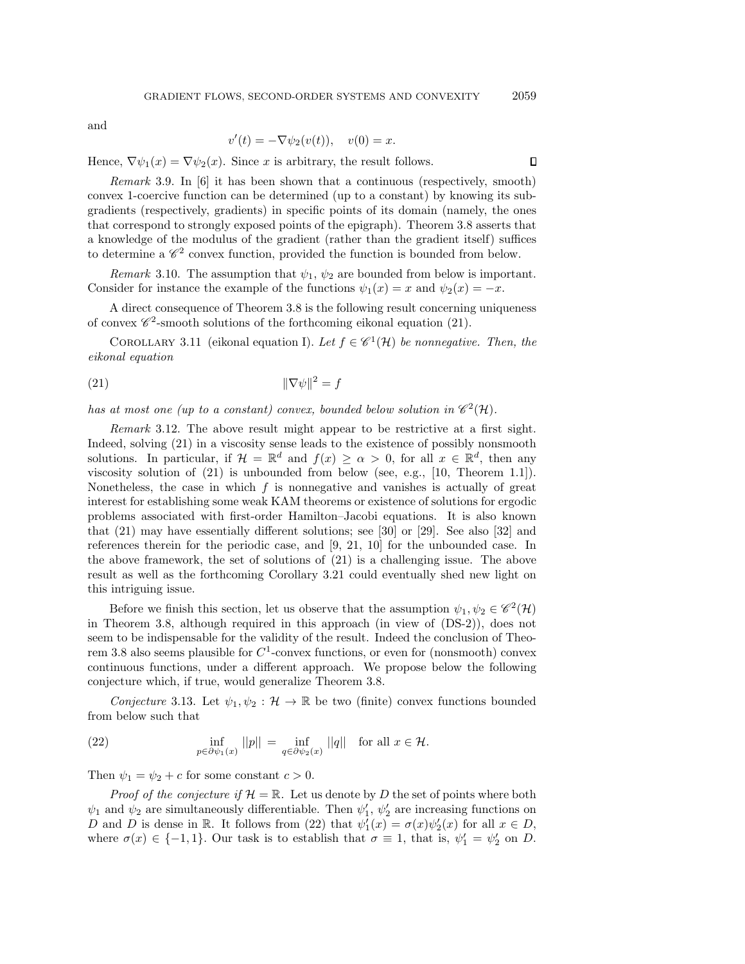and

$$
v'(t) = -\nabla \psi_2(v(t)), \quad v(0) = x.
$$

Hence,  $\nabla \psi_1(x) = \nabla \psi_2(x)$ . Since x is arbitrary, the result follows.

Remark 3.9. In [\[6\]](#page-16-23) it has been shown that a continuous (respectively, smooth) convex 1-coercive function can be determined (up to a constant) by knowing its subgradients (respectively, gradients) in specific points of its domain (namely, the ones that correspond to strongly exposed points of the epigraph). Theorem 3.[8](#page-9-0) asserts that a knowledge of the modulus of the gradient (rather than the gradient itself) suffices to determine a  $\mathscr{C}^2$  convex function, provided the function is bounded from below.

Remark 3.10. The assumption that  $\psi_1$ ,  $\psi_2$  are bounded from below is important. Consider for instance the example of the functions  $\psi_1(x) = x$  and  $\psi_2(x) = -x$ .

A direct consequence of Theorem [3](#page-9-0).8 is the following result concerning uniqueness of convex  $\mathscr{C}^2$ -smooth solutions of the forthcoming eikonal equation [\(21\)](#page-10-0).

COROLLARY 3.11 (eikonal equation I). Let  $f \in \mathcal{C}^1(\mathcal{H})$  be nonnegative. Then, the eikonal equation

<span id="page-10-0"></span>
$$
\|\nabla\psi\|^2 = f
$$

has at most one (up to a constant) convex, bounded below solution in  $\mathscr{C}^2(\mathcal{H})$ .

Remark 3.12. The above result might appear to be restrictive at a first sight. Indeed, solving [\(21\)](#page-10-0) in a viscosity sense leads to the existence of possibly nonsmooth solutions. In particular, if  $\mathcal{H} = \mathbb{R}^d$  and  $f(x) \ge \alpha > 0$ , for all  $x \in \mathbb{R}^d$ , then any viscosity solution of [\(21\)](#page-10-0) is unbounded from below (see, e.g., [\[10,](#page-16-16) Theorem 1.1]). Nonetheless, the case in which  $f$  is nonnegative and vanishes is actually of great interest for establishing some weak KAM theorems or existence of solutions for ergodic problems associated with first-order Hamilton–Jacobi equations. It is also known that [\(21\)](#page-10-0) may have essentially different solutions; see [\[30\]](#page-17-1) or [\[29\]](#page-17-2). See also [\[32\]](#page-17-3) and references therein for the periodic case, and [\[9,](#page-16-13) [21,](#page-16-14) [10\]](#page-16-16) for the unbounded case. In the above framework, the set of solutions of [\(21\)](#page-10-0) is a challenging issue. The above result as well as the forthcoming Corollary 3.[21](#page-13-3) could eventually shed new light on this intriguing issue.

Before we finish this section, let us observe that the assumption  $\psi_1, \psi_2 \in \mathscr{C}^2(\mathcal{H})$ in Theorem 3.[8,](#page-9-0) although required in this approach (in view of [\(DS-2\)](#page-0-0)), does not seem to be indispensable for the validity of the result. Indeed the conclusion of Theo-rem 3.[8](#page-9-0) also seems plausible for  $C^1$ -convex functions, or even for (nonsmooth) convex continuous functions, under a different approach. We propose below the following conjecture which, if true, would generalize Theorem [3](#page-9-0).8.

Conjecture 3.13. Let  $\psi_1, \psi_2 : \mathcal{H} \to \mathbb{R}$  be two (finite) convex functions bounded from below such that

<span id="page-10-1"></span>(22) 
$$
\inf_{p \in \partial \psi_1(x)} ||p|| = \inf_{q \in \partial \psi_2(x)} ||q|| \text{ for all } x \in \mathcal{H}.
$$

Then  $\psi_1 = \psi_2 + c$  for some constant  $c > 0$ .

*Proof of the conjecture if*  $\mathcal{H} = \mathbb{R}$ . Let us denote by D the set of points where both  $\psi_1$  and  $\psi_2$  are simultaneously differentiable. Then  $\psi'_1$ ,  $\psi'_2$  are increasing functions on D and D is dense in R. It follows from [\(22\)](#page-10-1) that  $\psi_1'(x) = \sigma(x)\psi_2'(x)$  for all  $x \in D$ , where  $\sigma(x) \in \{-1,1\}$ . Our task is to establish that  $\sigma \equiv 1$ , that is,  $\psi'_1 = \psi'_2$  on D.

 $\Box$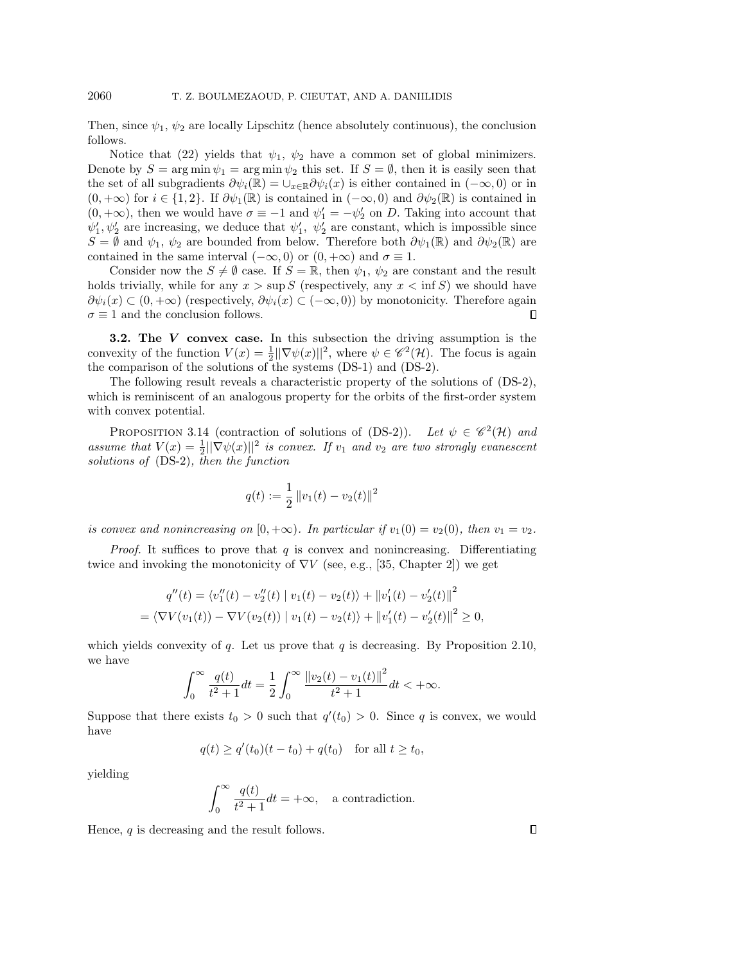Then, since  $\psi_1$ ,  $\psi_2$  are locally Lipschitz (hence absolutely continuous), the conclusion follows.

Notice that [\(22\)](#page-10-1) yields that  $\psi_1$ ,  $\psi_2$  have a common set of global minimizers. Denote by  $S = \arg \min \psi_1 = \arg \min \psi_2$  this set. If  $S = \emptyset$ , then it is easily seen that the set of all subgradients  $\partial \psi_i(\mathbb{R}) = \cup_{x \in \mathbb{R}} \partial \psi_i(x)$  is either contained in  $(-\infty, 0)$  or in  $(0, +\infty)$  for  $i \in \{1, 2\}$ . If  $\partial \psi_1(\mathbb{R})$  is contained in  $(-\infty, 0)$  and  $\partial \psi_2(\mathbb{R})$  is contained in  $(0, +\infty)$ , then we would have  $\sigma \equiv -1$  and  $\psi'_1 = -\psi'_2$  on D. Taking into account that  $\psi'_1, \psi'_2$  are increasing, we deduce that  $\psi'_1, \psi'_2$  are constant, which is impossible since  $S = \emptyset$  and  $\psi_1, \psi_2$  are bounded from below. Therefore both  $\partial \psi_1(\mathbb{R})$  and  $\partial \psi_2(\mathbb{R})$  are contained in the same interval  $(-\infty, 0)$  or  $(0, +\infty)$  and  $\sigma \equiv 1$ .

Consider now the  $S \neq \emptyset$  case. If  $S = \mathbb{R}$ , then  $\psi_1, \psi_2$  are constant and the result holds trivially, while for any  $x > \sup S$  (respectively, any  $x < \inf S$ ) we should have  $\partial \psi_i(x) \subset (0, +\infty)$  (respectively,  $\partial \psi_i(x) \subset (-\infty, 0)$ ) by monotonicity. Therefore again  $\sigma \equiv 1$  and the conclusion follows. П

<span id="page-11-0"></span>**3.2.** The  $V$  convex case. In this subsection the driving assumption is the convexity of the function  $V(x) = \frac{1}{2} ||\nabla \psi(x)||^2$ , where  $\psi \in \mathscr{C}^2(\mathcal{H})$ . The focus is again the comparison of the solutions of the systems [\(DS-1\)](#page-0-2) and [\(DS-2\)](#page-0-0).

The following result reveals a characteristic property of the solutions of [\(DS-2\)](#page-0-0), which is reminiscent of an analogous property for the orbits of the first-order system with convex potential.

<span id="page-11-1"></span>PROPOSITION 3.14 (contraction of solutions of [\(DS-2\)](#page-0-0)). Let  $\psi \in \mathscr{C}^2(\mathcal{H})$  and assume that  $V(x) = \frac{1}{2} ||\nabla \psi(x)||^2$  is convex. If  $v_1$  and  $v_2$  are two strongly evanescent solutions of [\(DS-2\)](#page-0-0), then the function

$$
q(t) := \frac{1}{2} ||v_1(t) - v_2(t)||^2
$$

is convex and nonincreasing on  $[0, +\infty)$ . In particular if  $v_1(0) = v_2(0)$ , then  $v_1 = v_2$ .

*Proof.* It suffices to prove that  $q$  is convex and nonincreasing. Differentiating twice and invoking the monotonicity of  $\nabla V$  (see, e.g., [\[35,](#page-17-4) Chapter 2]) we get

$$
q''(t) = \langle v_1''(t) - v_2''(t) | v_1(t) - v_2(t) \rangle + ||v_1'(t) - v_2'(t)||^2
$$
  
=  $\langle \nabla V(v_1(t)) - \nabla V(v_2(t)) | v_1(t) - v_2(t) \rangle + ||v_1'(t) - v_2'(t)||^2 \ge 0,$ 

which yields convexity of q. Let us prove that q is decreasing. By Proposition 2.[10,](#page-5-3) we have

$$
\int_0^\infty \frac{q(t)}{t^2 + 1} dt = \frac{1}{2} \int_0^\infty \frac{\|v_2(t) - v_1(t)\|^2}{t^2 + 1} dt < +\infty.
$$

Suppose that there exists  $t_0 > 0$  such that  $q'(t_0) > 0$ . Since q is convex, we would have

$$
q(t) \ge q'(t_0)(t - t_0) + q(t_0)
$$
 for all  $t \ge t_0$ ,

yielding

$$
\int_0^\infty \frac{q(t)}{t^2+1}dt=+\infty, \quad \text{a contradiction}.
$$

Hence,  $q$  is decreasing and the result follows.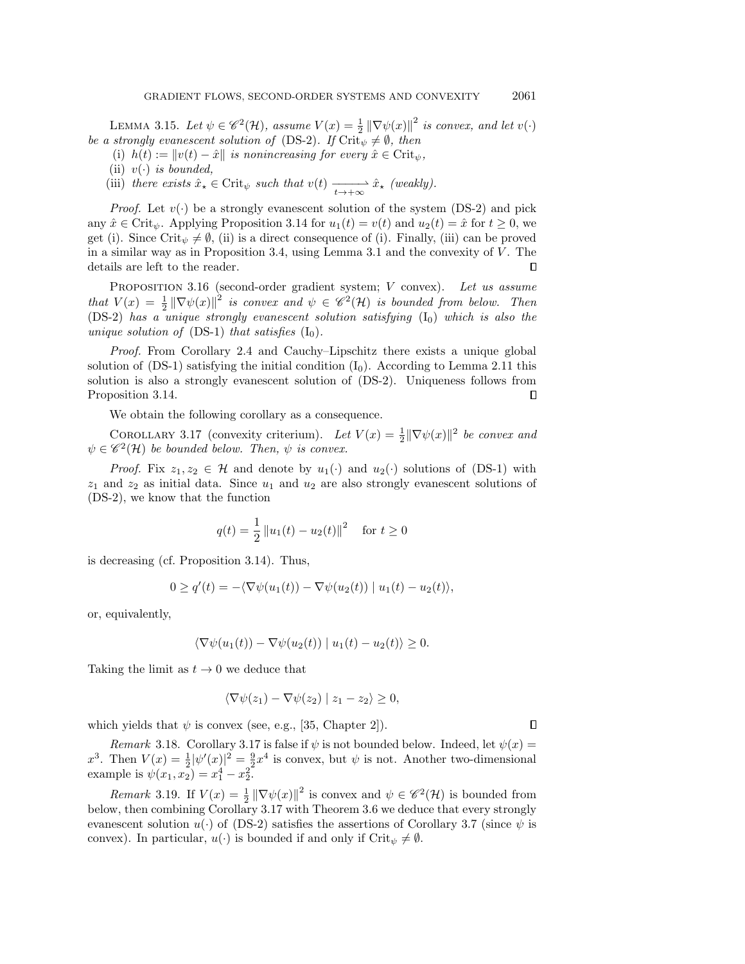LEMMA 3.15. Let  $\psi \in \mathscr{C}^2(\mathcal{H})$ , assume  $V(x) = \frac{1}{2} ||\nabla \psi(x)||^2$  is convex, and let  $v(\cdot)$ be a strongly evanescent solution of [\(DS-2\)](#page-0-0). If Crit<sub> $\psi \neq \emptyset$ , then</sub>

- (i)  $h(t) := ||v(t) \hat{x}||$  is nonincreasing for every  $\hat{x} \in \text{Crit}_{\psi}$ ,
- (ii)  $v(\cdot)$  is bounded,
- (iii) there exists  $\hat{x}_\star \in \text{Crit}_{\psi}$  such that  $v(t) \xrightarrow[t \to +\infty]{} \hat{x}_\star$  (weakly).

*Proof.* Let  $v(\cdot)$  be a strongly evanescent solution of the system [\(DS-2\)](#page-0-0) and pick any  $\hat{x} \in \text{Crit}_{\psi}$ . Applying Proposition 3.[14](#page-11-1) for  $u_1(t) = v(t)$  and  $u_2(t) = \hat{x}$  for  $t \geq 0$ , we get (i). Since Crit<sub> $\psi \neq \emptyset$ , (ii) is a direct consequence of (i). Finally, (iii) can be proved</sub> in a similar way as in Proposition [3](#page-7-5).4, using Lemma 3.1 and the convexity of  $V$ . The details are left to the reader.  $\Box$ 

<span id="page-12-1"></span>PROPOSITION 3.16 (second-order gradient system; V convex). Let us assume that  $V(x) = \frac{1}{2} ||\nabla \psi(x)||^2$  is convex and  $\psi \in \mathscr{C}^2(\mathcal{H})$  is bounded from below. Then [\(DS-2\)](#page-0-0) has a unique strongly evanescent solution satisfying  $(I_0)$  $(I_0)$  which is also the unique solution of  $(DS-1)$  that satisfies  $(I_0)$  $(I_0)$ .

Proof. From Corollary [2](#page-3-8).4 and Cauchy–Lipschitz there exists a unique global solution of  $(DS-1)$  satisfying the initial condition  $(I_0)$  $(I_0)$ . According to Lemma 2.[11](#page-6-3) this solution is also a strongly evanescent solution of [\(DS-2\)](#page-0-0). Uniqueness follows from Proposition 3.[14.](#page-11-1) П

We obtain the following corollary as a consequence.

<span id="page-12-0"></span>COROLLARY 3.17 (convexity criterium). Let  $V(x) = \frac{1}{2} ||\nabla \psi(x)||^2$  be convex and  $\psi \in \mathscr{C}^2(\mathcal{H})$  be bounded below. Then,  $\psi$  is convex.

*Proof.* Fix  $z_1, z_2 \in \mathcal{H}$  and denote by  $u_1(\cdot)$  and  $u_2(\cdot)$  solutions of [\(DS-1\)](#page-0-2) with  $z_1$  and  $z_2$  as initial data. Since  $u_1$  and  $u_2$  are also strongly evanescent solutions of [\(DS-2\)](#page-0-0), we know that the function

$$
q(t) = \frac{1}{2} ||u_1(t) - u_2(t)||^2 \quad \text{for } t \ge 0
$$

is decreasing (cf. Proposition 3.[14\)](#page-11-1). Thus,

$$
0 \ge q'(t) = -\langle \nabla \psi(u_1(t)) - \nabla \psi(u_2(t)) | u_1(t) - u_2(t) \rangle,
$$

or, equivalently,

$$
\langle \nabla \psi(u_1(t)) - \nabla \psi(u_2(t)) | u_1(t) - u_2(t) \rangle \ge 0.
$$

Taking the limit as  $t \to 0$  we deduce that

$$
\langle \nabla \psi(z_1) - \nabla \psi(z_2) | z_1 - z_2 \rangle \ge 0,
$$

 $\Box$ 

which yields that  $\psi$  is convex (see, e.g., [\[35,](#page-17-4) Chapter 2]).

Remark 3.18. Corollary 3.[17](#page-12-0) is false if  $\psi$  is not bounded below. Indeed, let  $\psi(x) =$  $x^3$ . Then  $V(x) = \frac{1}{2} |\psi'(x)|^2 = \frac{9}{2} x^4$  is convex, but  $\psi$  is not. Another two-dimensional example is  $\psi(x_1, x_2) = x_1^4 - x_2^2$ .

<span id="page-12-2"></span>*Remark* 3.19. If  $V(x) = \frac{1}{2} ||\nabla \psi(x)||^2$  is convex and  $\psi \in \mathscr{C}^2(\mathcal{H})$  is bounded from below, then combining Corollary 3.[17](#page-12-0) with Theorem 3.[6](#page-9-1) we deduce that every strongly evanescent solution  $u(\cdot)$  of [\(DS-2\)](#page-0-0) satisfies the assertions of Corollary [3](#page-9-2).7 (since  $\psi$  is convex). In particular,  $u(\cdot)$  is bounded if and only if Crit<sub> $\psi \neq \emptyset$ .</sub>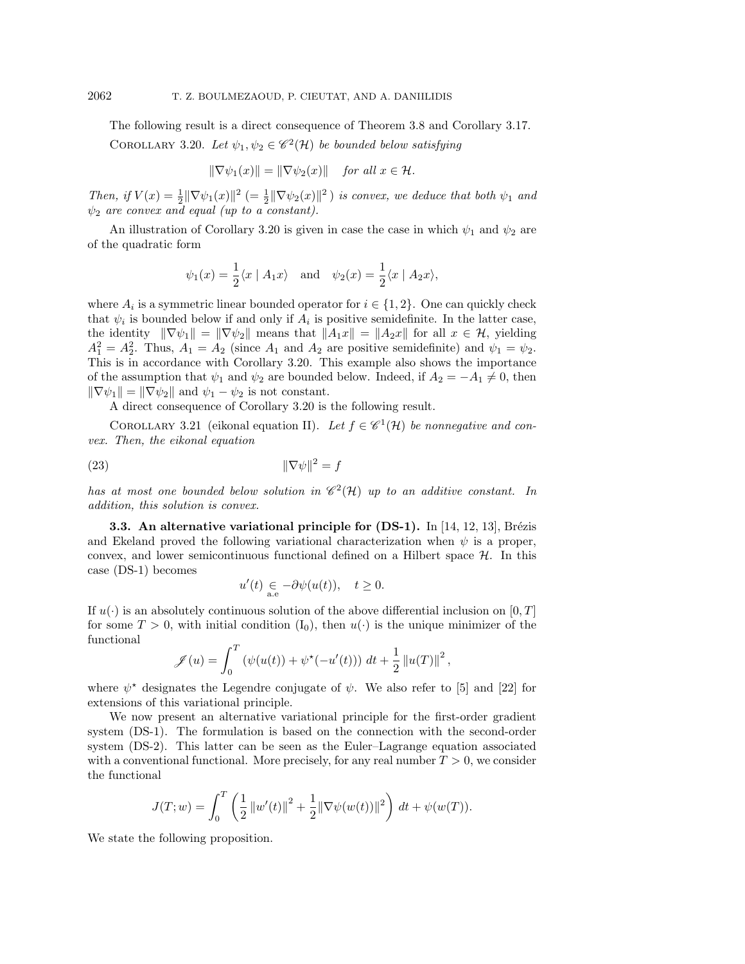The following result is a direct consequence of Theorem 3.[8](#page-9-0) and Corollary 3.[17.](#page-12-0)

<span id="page-13-0"></span>COROLLARY 3.20. Let  $\psi_1, \psi_2 \in \mathscr{C}^2(\mathcal{H})$  be bounded below satisfying

$$
\|\nabla \psi_1(x)\| = \|\nabla \psi_2(x)\| \quad \text{for all } x \in \mathcal{H}.
$$

Then, if  $V(x) = \frac{1}{2} \|\nabla \psi_1(x)\|^2$  (=  $\frac{1}{2} \|\nabla \psi_2(x)\|^2$ ) is convex, we deduce that both  $\psi_1$  and  $\psi_2$  are convex and equal (up to a constant).

An illustration of Corollary 3.[20](#page-13-0) is given in case the case in which  $\psi_1$  and  $\psi_2$  are of the quadratic form

$$
\psi_1(x) = \frac{1}{2}\langle x | A_1x \rangle
$$
 and  $\psi_2(x) = \frac{1}{2}\langle x | A_2x \rangle$ ,

where  $A_i$  is a symmetric linear bounded operator for  $i \in \{1,2\}$ . One can quickly check that  $\psi_i$  is bounded below if and only if  $A_i$  is positive semidefinite. In the latter case, the identity  $\|\nabla \psi_1\| = \|\nabla \psi_2\|$  means that  $\|A_1x\| = \|A_2x\|$  for all  $x \in \mathcal{H}$ , yielding  $A_1^2 = A_2^2$ . Thus,  $A_1 = A_2$  (since  $A_1$  and  $A_2$  are positive semidefinite) and  $\psi_1 = \psi_2$ . This is in accordance with Corollary 3.[20.](#page-13-0) This example also shows the importance of the assumption that  $\psi_1$  and  $\psi_2$  are bounded below. Indeed, if  $A_2 = -A_1 \neq 0$ , then  $\|\nabla \psi_1\| = \|\nabla \psi_2\|$  and  $\psi_1 - \psi_2$  is not constant.

A direct consequence of Corollary 3.[20](#page-13-0) is the following result.

<span id="page-13-3"></span>COROLLARY 3.21 (eikonal equation II). Let  $f \in \mathscr{C}^1(\mathcal{H})$  be nonnegative and convex. Then, the eikonal equation

$$
\|\nabla \psi\|^2 = f
$$

has at most one bounded below solution in  $\mathscr{C}^2(\mathcal{H})$  up to an additive constant. In addition, this solution is convex.

<span id="page-13-2"></span>**3.3.** An alternative variational principle for  $(DS-1)$ . In [\[14,](#page-16-2) [12,](#page-16-1) [13\]](#page-16-24), Brézis and Ekeland proved the following variational characterization when  $\psi$  is a proper, convex, and lower semicontinuous functional defined on a Hilbert space  $H$ . In this case [\(DS-1\)](#page-0-2) becomes

$$
u'(t) \underset{\text{a.e}}{\in} -\partial \psi(u(t)), \quad t \ge 0.
$$

If  $u(\cdot)$  is an absolutely continuous solution of the above differential inclusion on [0, T] for some  $T > 0$ , with initial condition  $(I_0)$  $(I_0)$ , then  $u(\cdot)$  is the unique minimizer of the functional

$$
\mathscr{J}(u) = \int_0^T \left( \psi(u(t)) + \psi^*(-u'(t)) \right) dt + \frac{1}{2} ||u(T)||^2,
$$

where  $\psi^*$  designates the Legendre conjugate of  $\psi$ . We also refer to [\[5\]](#page-16-25) and [\[22\]](#page-16-5) for extensions of this variational principle.

We now present an alternative variational principle for the first-order gradient system [\(DS-1\)](#page-0-2). The formulation is based on the connection with the second-order system [\(DS-2\)](#page-0-0). This latter can be seen as the Euler–Lagrange equation associated with a conventional functional. More precisely, for any real number  $T > 0$ , we consider the functional

$$
J(T; w) = \int_0^T \left(\frac{1}{2} ||w'(t)||^2 + \frac{1}{2} ||\nabla \psi(w(t))||^2\right) dt + \psi(w(T)).
$$

<span id="page-13-1"></span>We state the following proposition.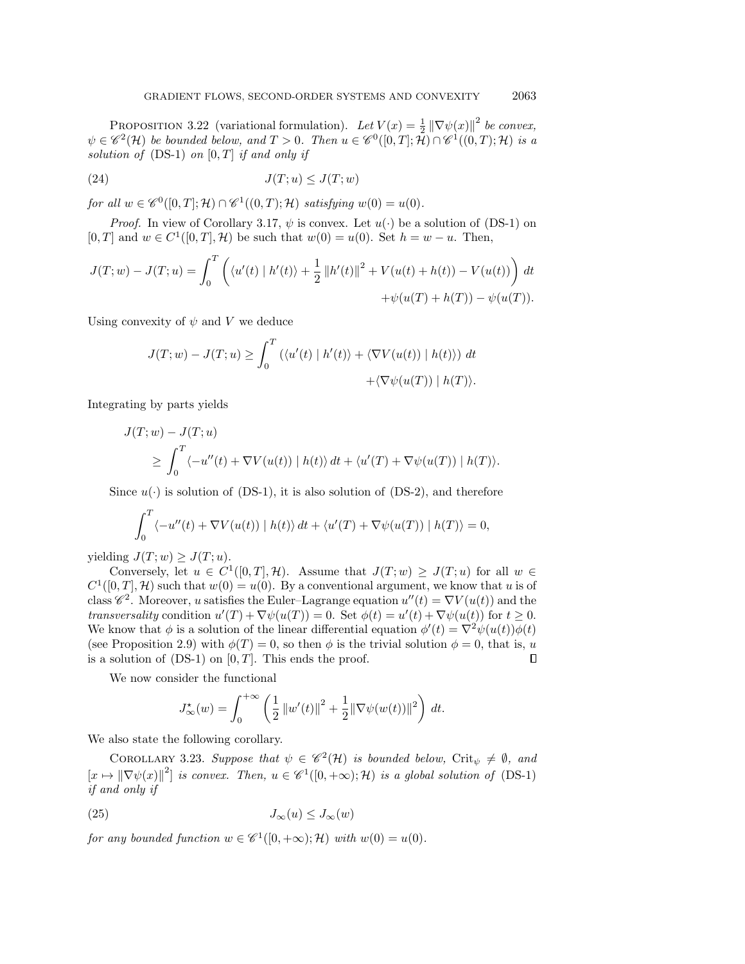PROPOSITION 3.22 (variational formulation). Let  $V(x) = \frac{1}{2} ||\nabla \psi(x)||^2$  be convex,  $\psi \in \mathscr{C}^2(\mathcal{H})$  be bounded below, and  $T > 0$ . Then  $u \in \mathscr{C}^0([0,T];\tilde{\mathcal{H}}) \cap \mathscr{C}^1((0,T);\mathcal{H})$  is a solution of  $(DS-1)$  on  $[0, T]$  if and only if

<span id="page-14-0"></span>
$$
(24) \t\t J(T;u) \le J(T;w)
$$

for all  $w \in \mathscr{C}^0([0,T];\mathcal{H}) \cap \mathscr{C}^1((0,T);\mathcal{H})$  satisfying  $w(0) = u(0)$ .

*Proof.* In view of Corollary 3.[17,](#page-12-0)  $\psi$  is convex. Let  $u(\cdot)$  be a solution of [\(DS-1\)](#page-0-2) on [0, T] and  $w \in C^1([0, T], \mathcal{H})$  be such that  $w(0) = u(0)$ . Set  $h = w - u$ . Then,

$$
J(T; w) - J(T; u) = \int_0^T \left( \langle u'(t) | h'(t) \rangle + \frac{1}{2} ||h'(t)||^2 + V(u(t) + h(t)) - V(u(t)) \right) dt + \psi(u(T) + h(T)) - \psi(u(T)).
$$

Using convexity of  $\psi$  and V we deduce

$$
J(T; w) - J(T; u) \ge \int_0^T \left( \langle u'(t) | h'(t) \rangle + \langle \nabla V(u(t)) | h(t) \rangle \right) dt + \langle \nabla \psi(u(T)) | h(T) \rangle.
$$

Integrating by parts yields

$$
J(T; w) - J(T; u)
$$
  
\n
$$
\geq \int_0^T \langle -u''(t) + \nabla V(u(t)) | h(t) \rangle dt + \langle u'(T) + \nabla \psi(u(T)) | h(T) \rangle.
$$

Since  $u(\cdot)$  is solution of [\(DS-1\)](#page-0-2), it is also solution of [\(DS-2\)](#page-0-0), and therefore

$$
\int_0^T \langle -u''(t) + \nabla V(u(t)) | h(t) \rangle dt + \langle u'(T) + \nabla \psi(u(T)) | h(T) \rangle = 0,
$$

yielding  $J(T; w) \geq J(T; u)$ .

Conversely, let  $u \in C^1([0,T], \mathcal{H})$ . Assume that  $J(T; w) \geq J(T; u)$  for all  $w \in$  $C^1([0,T], \mathcal{H})$  such that  $w(0) = u(0)$ . By a conventional argument, we know that u is of class  $\mathscr{C}^2$ . Moreover, u satisfies the Euler-Lagrange equation  $u''(t) = \nabla V(u(t))$  and the transversality condition  $u'(T) + \nabla \psi(u(T)) = 0$ . Set  $\phi(t) = u'(t) + \nabla \psi(u(t))$  for  $t \geq 0$ . We know that  $\phi$  is a solution of the linear differential equation  $\phi'(t) = \nabla^2 \psi(u(t))\phi(t)$ (see Proposition [2](#page-4-3).9) with  $\phi(T) = 0$ , so then  $\phi$  is the trivial solution  $\phi = 0$ , that is, u is a solution of  $(DS-1)$  on  $[0, T]$ . This ends the proof.  $\Box$ 

We now consider the functional

$$
J_{\infty}^{\star}(w) = \int_0^{+\infty} \left(\frac{1}{2} ||w'(t)||^2 + \frac{1}{2} ||\nabla \psi(w(t))||^2\right) dt.
$$

We also state the following corollary.

COROLLARY 3.23. Suppose that  $\psi \in \mathscr{C}^2(\mathcal{H})$  is bounded below, Crit<sub> $\psi \neq \emptyset$ , and</sub>  $[x \mapsto ||\nabla \psi(x)||^2]$  is convex. Then,  $u \in \mathscr{C}^1([0, +\infty); \mathcal{H})$  is a global solution of [\(DS-1\)](#page-0-2) if and only if

$$
(25) \t\t J_{\infty}(u) \leq J_{\infty}(w)
$$

for any bounded function  $w \in \mathscr{C}^1([0, +\infty); \mathcal{H})$  with  $w(0) = u(0)$ .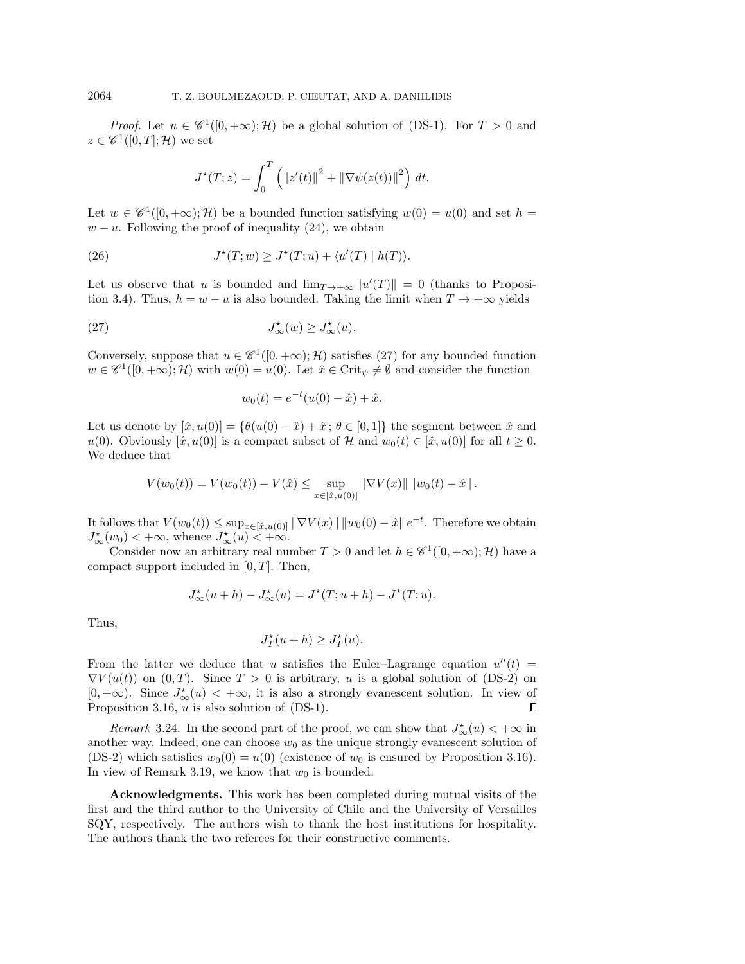*Proof.* Let  $u \in \mathscr{C}^1([0, +\infty); \mathcal{H})$  be a global solution of [\(DS-1\)](#page-0-2). For  $T > 0$  and  $z \in \mathscr{C}^1([0,T];\mathcal{H})$  we set

$$
J^{\star}(T; z) = \int_0^T \left( ||z'(t)||^2 + ||\nabla \psi(z(t))||^2 \right) dt.
$$

Let  $w \in \mathscr{C}^1([0,+\infty);\mathcal{H})$  be a bounded function satisfying  $w(0) = u(0)$  and set  $h =$  $w - u$ . Following the proof of inequality [\(24\)](#page-14-0), we obtain

(26) 
$$
J^*(T; w) \ge J^*(T; u) + \langle u'(T) | h(T) \rangle.
$$

Let us observe that u is bounded and  $\lim_{T\to+\infty} ||u'(T)|| = 0$  (thanks to Proposi-tion [3](#page-8-3).4). Thus,  $h = w - u$  is also bounded. Taking the limit when  $T \to +\infty$  yields

(27) 
$$
J^{\star}_{\infty}(w) \geq J^{\star}_{\infty}(u).
$$

Conversely, suppose that  $u \in \mathscr{C}^1([0, +\infty); \mathcal{H})$  satisfies [\(27\)](#page-15-0) for any bounded function  $w \in \mathscr{C}^1([0, +\infty); \mathcal{H})$  with  $w(0) = u(0)$ . Let  $\hat{x} \in \text{Crit}_{\psi} \neq \emptyset$  and consider the function

<span id="page-15-0"></span>
$$
w_0(t) = e^{-t}(u(0) - \hat{x}) + \hat{x}.
$$

Let us denote by  $[\hat{x}, u(0)] = \{\theta(u(0) - \hat{x}) + \hat{x}; \theta \in [0,1]\}\$ the segment between  $\hat{x}$  and u(0). Obviously  $[\hat{x}, u(0)]$  is a compact subset of H and  $w_0(t) \in [\hat{x}, u(0)]$  for all  $t \ge 0$ . We deduce that

$$
V(w_0(t)) = V(w_0(t)) - V(\hat{x}) \le \sup_{x \in [\hat{x}, u(0)]} \|\nabla V(x)\| \, \|w_0(t) - \hat{x}\|.
$$

It follows that  $V(w_0(t)) \leq \sup_{x \in [\hat{x}, u(0)]} ||\nabla V(x)|| \, ||w_0(0) - \hat{x}|| \, e^{-t}$ . Therefore we obtain  $J^{\star}_{\infty}(w_0) < +\infty$ , whence  $J^{\star}_{\infty}(u) < +\infty$ .

Consider now an arbitrary real number  $T > 0$  and let  $h \in \mathscr{C}^1([0, +\infty); \mathcal{H})$  have a compact support included in  $[0, T]$ . Then,

$$
J^{\star}_{\infty}(u+h) - J^{\star}_{\infty}(u) = J^{\star}(T; u+h) - J^{\star}(T; u).
$$

Thus,

$$
J_T^{\star}(u+h) \ge J_T^{\star}(u).
$$

From the latter we deduce that u satisfies the Euler–Lagrange equation  $u''(t)$  =  $\nabla V(u(t))$  on  $(0, T)$ . Since  $T > 0$  is arbitrary, u is a global solution of  $(DS-2)$  on  $[0, +\infty)$ . Since  $J^*_{\infty}(u) < +\infty$ , it is also a strongly evanescent solution. In view of Proposition 3.[16,](#page-12-1)  $u$  is also solution of  $(DS-1)$ .  $\Box$ 

Remark 3.24. In the second part of the proof, we can show that  $J^{\star}_{\infty}(u) < +\infty$  in another way. Indeed, one can choose  $w_0$  as the unique strongly evanescent solution of [\(DS-2\)](#page-0-0) which satisfies  $w_0(0) = u(0)$  (existence of  $w_0$  is ensured by Proposition 3.[16\)](#page-12-1). In view of Remark 3.[19,](#page-12-2) we know that  $w_0$  is bounded.

Acknowledgments. This work has been completed during mutual visits of the first and the third author to the University of Chile and the University of Versailles SQY, respectively. The authors wish to thank the host institutions for hospitality. The authors thank the two referees for their constructive comments.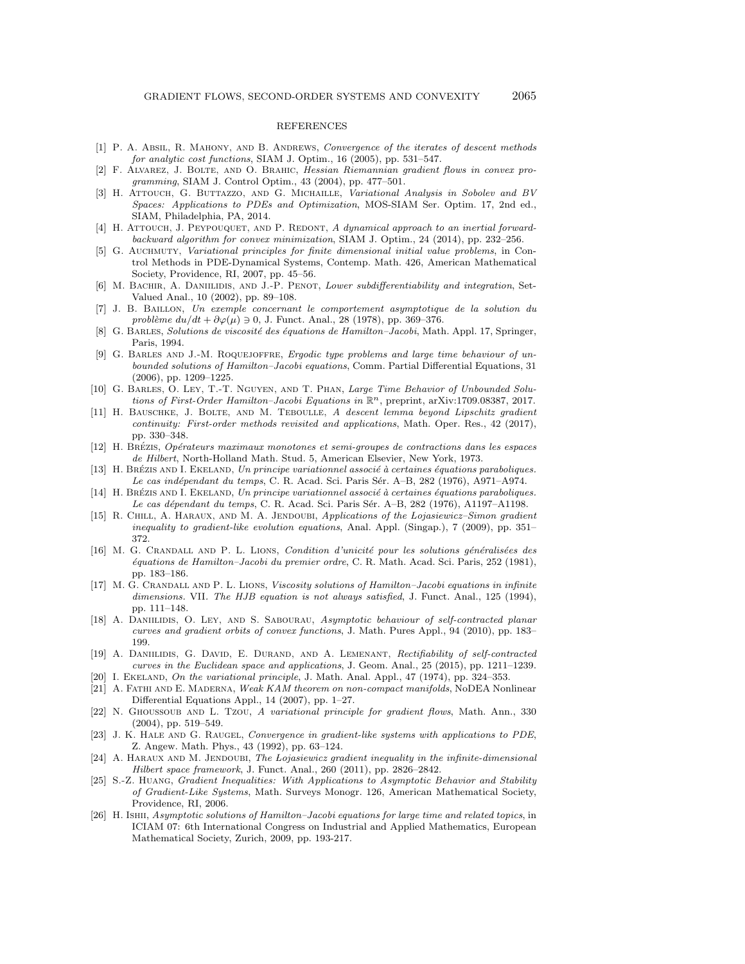## REFERENCES

- <span id="page-16-22"></span>[1] P. A. ABSIL, R. MAHONY, AND B. ANDREWS, Convergence of the iterates of descent methods for analytic cost functions, SIAM J. Optim., 16 (2005), pp. 531–547.
- <span id="page-16-19"></span>[2] F. Alvarez, J. Bolte, and O. Brahic, Hessian Riemannian gradient flows in convex programming, SIAM J. Control Optim., 43 (2004), pp. 477–501.
- <span id="page-16-9"></span>[3] H. ATTOUCH, G. BUTTAZZO, AND G. MICHAILLE, Variational Analysis in Sobolev and BV Spaces: Applications to PDEs and Optimization, MOS-SIAM Ser. Optim. 17, 2nd ed., SIAM, Philadelphia, PA, 2014.
- <span id="page-16-20"></span>[4] H. ATTOUCH, J. PEYPOUQUET, AND P. REDONT, A dynamical approach to an inertial forwardbackward algorithm for convex minimization, SIAM J. Optim., 24 (2014), pp. 232–256.
- <span id="page-16-25"></span>[5] G. Auchmuty, Variational principles for finite dimensional initial value problems, in Control Methods in PDE-Dynamical Systems, Contemp. Math. 426, American Mathematical Society, Providence, RI, 2007, pp. 45–56.
- <span id="page-16-23"></span>[6] M. BACHIR, A. DANIILIDIS, AND J.-P. PENOT, Lower subdifferentiability and integration, Set-Valued Anal., 10 (2002), pp. 89–108.
- <span id="page-16-17"></span>[7] J. B. Baillon, Un exemple concernant le comportement asymptotique de la solution du problème  $du/dt + \partial \varphi(\mu) \ni 0, \text{ J. Funct. Anal., } 28 (1978), \text{ pp. } 369-376.$
- <span id="page-16-12"></span>[8] G. BARLES, Solutions de viscosité des équations de Hamilton–Jacobi, Math. Appl. 17, Springer, Paris, 1994.
- <span id="page-16-13"></span>[9] G. Barles and J.-M. Roquejoffre, Ergodic type problems and large time behaviour of unbounded solutions of Hamilton–Jacobi equations, Comm. Partial Differential Equations, 31 (2006), pp. 1209–1225.
- <span id="page-16-16"></span>[10] G. Barles, O. Ley, T.-T. Nguyen, and T. Phan, Large Time Behavior of Unbounded Solutions of First-Order Hamilton–Jacobi Equations in  $\mathbb{R}^n$ , preprint, arXiv:1709.08387, 2017.
- <span id="page-16-21"></span>[11] H. BAUSCHKE, J. BOLTE, AND M. TEBOULLE, A descent lemma beyond Lipschitz gradient continuity: First-order methods revisited and applications, Math. Oper. Res., 42 (2017), pp. 330–348.
- <span id="page-16-1"></span>[12] H. Brézis, Opérateurs maximaux monotones et semi-groupes de contractions dans les espaces de Hilbert, North-Holland Math. Stud. 5, American Elsevier, New York, 1973.
- <span id="page-16-24"></span>[13] H. BRÉZIS AND I. EKELAND, Un principe variationnel associé à certaines équations paraboliques. Le cas indépendant du temps, C. R. Acad. Sci. Paris Sér. A–B, 282 (1976), A971–A974.
- <span id="page-16-2"></span>[14] H. BRÉZIS AND I. EKELAND, Un principe variationnel associé à certaines équations paraboliques. Le cas dépendant du temps, C. R. Acad. Sci. Paris Sér. A–B, 282 (1976), A1197–A1198.
- <span id="page-16-6"></span>[15] R. CHILL, A. HARAUX, AND M. A. JENDOUBI, Applications of the Lojasiewicz–Simon gradient inequality to gradient-like evolution equations, Anal. Appl. (Singap.), 7 (2009), pp. 351– 372.
- <span id="page-16-10"></span>[16] M. G. CRANDALL AND P. L. LIONS, Condition d'unicité pour les solutions généralisées des ´equations de Hamilton–Jacobi du premier ordre, C. R. Math. Acad. Sci. Paris, 252 (1981), pp. 183–186.
- <span id="page-16-11"></span>[17] M. G. Crandall and P. L. Lions, Viscosity solutions of Hamilton–Jacobi equations in infinite dimensions. VII. The HJB equation is not always satisfied, J. Funct. Anal., 125 (1994), pp. 111–148.
- <span id="page-16-7"></span>[18] A. DANIILIDIS, O. LEY, AND S. SABOURAU, Asymptotic behaviour of self-contracted planar curves and gradient orbits of convex functions, J. Math. Pures Appl., 94 (2010), pp. 183– 199.
- <span id="page-16-18"></span>[19] A. DANIILIDIS, G. DAVID, E. DURAND, AND A. LEMENANT, Rectifiability of self-contracted curves in the Euclidean space and applications, J. Geom. Anal., 25 (2015), pp. 1211–1239.
- <span id="page-16-14"></span><span id="page-16-0"></span>[20] I. EKELAND, On the variational principle, J. Math. Anal. Appl., 47 (1974), pp. 324–353. [21] A. Fathi and E. Maderna, Weak KAM theorem on non-compact manifolds, NoDEA Nonlinear Differential Equations Appl., 14 (2007), pp. 1–27.
- <span id="page-16-5"></span>[22] N. Ghoussoub and L. Tzou, A variational principle for gradient flows, Math. Ann., 330 (2004), pp. 519–549.
- <span id="page-16-3"></span>[23] J. K. HALE AND G. RAUGEL, Convergence in gradient-like systems with applications to PDE, Z. Angew. Math. Phys., 43 (1992), pp. 63–124.
- <span id="page-16-8"></span>[24] A. HARAUX AND M. JENDOUBI, The Lojasiewicz gradient inequality in the infinite-dimensional Hilbert space framework, J. Funct. Anal., 260 (2011), pp. 2826–2842.
- <span id="page-16-4"></span>[25] S.-Z. Huang, Gradient Inequalities: With Applications to Asymptotic Behavior and Stability of Gradient-Like Systems, Math. Surveys Monogr. 126, American Mathematical Society, Providence, RI, 2006.
- <span id="page-16-15"></span>[26] H. Ishii, Asymptotic solutions of Hamilton–Jacobi equations for large time and related topics, in ICIAM 07: 6th International Congress on Industrial and Applied Mathematics, European Mathematical Society, Zurich, 2009, pp. 193-217.